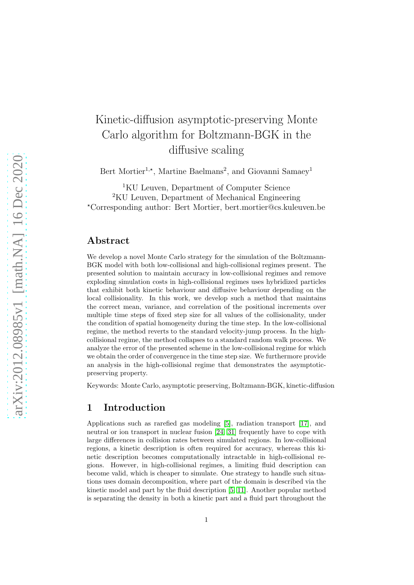# Kinetic-diffusion asymptotic-preserving Monte Carlo algorithm for Boltzmann-BGK in the diffusive scaling

Bert Mortier<sup>1,\*</sup>, Martine Baelmans<sup>2</sup>, and Giovanni Samaey<sup>1</sup>

<sup>1</sup>KU Leuven, Department of Computer Science <sup>2</sup>KU Leuven, Department of Mechanical Engineering <sup>⋆</sup>Corresponding author: Bert Mortier, bert.mortier@cs.kuleuven.be

### Abstract

We develop a novel Monte Carlo strategy for the simulation of the Boltzmann-BGK model with both low-collisional and high-collisional regimes present. The presented solution to maintain accuracy in low-collisional regimes and remove exploding simulation costs in high-collisional regimes uses hybridized particles that exhibit both kinetic behaviour and diffusive behaviour depending on the local collisionality. In this work, we develop such a method that maintains the correct mean, variance, and correlation of the positional increments over multiple time steps of fixed step size for all values of the collisionality, under the condition of spatial homogeneity during the time step. In the low-collisional regime, the method reverts to the standard velocity-jump process. In the highcollisional regime, the method collapses to a standard random walk process. We analyze the error of the presented scheme in the low-collisional regime for which we obtain the order of convergence in the time step size. We furthermore provide an analysis in the high-collisional regime that demonstrates the asymptoticpreserving property.

Keywords: Monte Carlo, asymptotic preserving, Boltzmann-BGK, kinetic-diffusion

# 1 Introduction

Applications such as rarefied gas modeling [\[5\]](#page-28-0), radiation transport [\[17\]](#page-29-0), and neutral or ion transport in nuclear fusion [\[24,](#page-30-0) [31\]](#page-30-1) frequently have to cope with large differences in collision rates between simulated regions. In low-collisional regions, a kinetic description is often required for accuracy, whereas this kinetic description becomes computationally intractable in high-collisional regions. However, in high-collisional regimes, a limiting fluid description can become valid, which is cheaper to simulate. One strategy to handle such situations uses domain decomposition, where part of the domain is described via the kinetic model and part by the fluid description [\[5,](#page-28-0) [11\]](#page-29-1). Another popular method is separating the density in both a kinetic part and a fluid part throughout the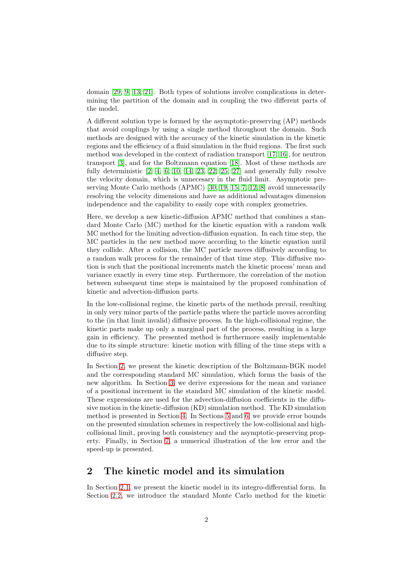domain [\[29,](#page-30-2) [9,](#page-29-2) [13,](#page-29-3) [21\]](#page-30-3). Both types of solutions involve complications in determining the partition of the domain and in coupling the two different parts of the model.

A different solution type is formed by the asymptotic-preserving (AP) methods that avoid couplings by using a single method throughout the domain. Such methods are designed with the accuracy of the kinetic simulation in the kinetic regions and the efficiency of a fluid simulation in the fluid regions. The first such method was developed in the context of radiation transport [\[17,](#page-29-0) [16\]](#page-29-4), for neutron transport [\[3\]](#page-28-1), and for the Boltzmann equation [\[18\]](#page-29-5). Most of these methods are fully deterministic  $[2, 4, 6, 10, 14, 23, 22, 25, 27]$  $[2, 4, 6, 10, 14, 23, 22, 25, 27]$  $[2, 4, 6, 10, 14, 23, 22, 25, 27]$  $[2, 4, 6, 10, 14, 23, 22, 25, 27]$  $[2, 4, 6, 10, 14, 23, 22, 25, 27]$  $[2, 4, 6, 10, 14, 23, 22, 25, 27]$  $[2, 4, 6, 10, 14, 23, 22, 25, 27]$  $[2, 4, 6, 10, 14, 23, 22, 25, 27]$  $[2, 4, 6, 10, 14, 23, 22, 25, 27]$  and generally fully resolve the velocity domain, which is unnecesary in the fluid limit. Asymptotic preserving Monte Carlo methods (APMC) [\[30,](#page-30-8) [19,](#page-29-9) [15,](#page-29-10) [7,](#page-29-11) [12,](#page-29-12) [8\]](#page-29-13) avoid unnecessarily resolving the velocity dimensions and have as additional advantages dimension independence and the capability to easily cope with complex geometries.

Here, we develop a new kinetic-diffusion APMC method that combines a standard Monte Carlo (MC) method for the kinetic equation with a random walk MC method for the limiting advection-diffusion equation. In each time step, the MC particles in the new method move according to the kinetic equation until they collide. After a collision, the MC particle moves diffusively according to a random walk process for the remainder of that time step. This diffusive motion is such that the positional increments match the kinetic process' mean and variance exactly in every time step. Furthermore, the correlation of the motion between subsequent time steps is maintained by the proposed combination of kinetic and advection-diffusion parts.

In the low-collisional regime, the kinetic parts of the methods prevail, resulting in only very minor parts of the particle paths where the particle moves according to the (in that limit invalid) diffusive process. In the high-collisional regime, the kinetic parts make up only a marginal part of the process, resulting in a large gain in efficiency. The presented method is furthermore easily implementable due to its simple structure: kinetic motion with filling of the time steps with a diffusive step.

In Section [2,](#page-1-0) we present the kinetic description of the Boltzmann-BGK model and the corresponding standard MC simulation, which forms the basis of the new algorithm. In Section [3,](#page-5-0) we derive expressions for the mean and variance of a positional increment in the standard MC simulation of the kinetic model. These expressions are used for the advection-diffusion coefficients in the diffusive motion in the kinetic-diffusion (KD) simulation method. The KD simulation method is presented in Section [4.](#page-12-0) In Sections [5](#page-14-0) and [6,](#page-21-0) we provide error bounds on the presented simulation schemes in respectively the low-collisional and highcollisional limit, proving both consistency and the asymptotic-preserving property. Finally, in Section [7,](#page-26-0) a numerical illustration of the low error and the speed-up is presented.

# <span id="page-1-0"></span>2 The kinetic model and its simulation

In Section [2.1,](#page-2-0) we present the kinetic model in its integro-differential form. In Section [2.2,](#page-2-1) we introduce the standard Monte Carlo method for the kinetic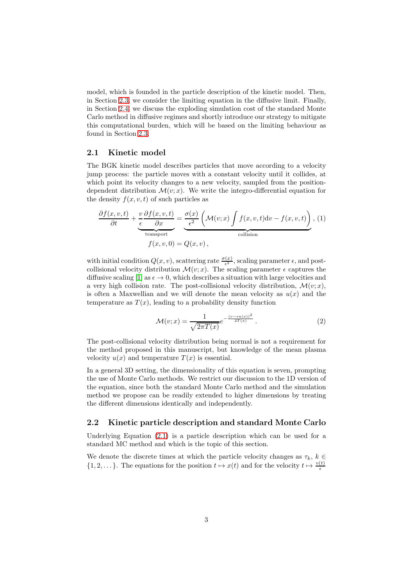model, which is founded in the particle description of the kinetic model. Then, in Section [2.3,](#page-3-0) we consider the limiting equation in the diffusive limit. Finally, in Section [2.4,](#page-4-0) we discuss the exploding simulation cost of the standard Monte Carlo method in diffusive regimes and shortly introduce our strategy to mitigate this computational burden, which will be based on the limiting behaviour as found in Section [2.3.](#page-3-0)

#### <span id="page-2-0"></span>2.1 Kinetic model

The BGK kinetic model describes particles that move according to a velocity jump process: the particle moves with a constant velocity until it collides, at which point its velocity changes to a new velocity, sampled from the positiondependent distribution  $\mathcal{M}(v; x)$ . We write the integro-differential equation for the density  $f(x, v, t)$  of such particles as

$$
\frac{\partial f(x, v, t)}{\partial t} + \underbrace{\underbrace{v}_{t} \frac{\partial f(x, v, t)}{\partial x}}_{\text{transport}} = \underbrace{\underbrace{\sigma(x)}_{\epsilon^2} \left(\mathcal{M}(v; x) \int f(x, v, t) \mathrm{d}v - f(x, v, t)\right)}_{\text{collision}}, (1)
$$

with initial condition  $Q(x, v)$ , scattering rate  $\frac{\sigma(x)}{\epsilon^2}$ , scaling parameter  $\epsilon$ , and postcollisional velocity distribution  $\mathcal{M}(v; x)$ . The scaling parameter  $\epsilon$  captures the diffusive scaling [\[1\]](#page-28-4) as  $\epsilon \to 0$ , which describes a situation with large velocities and a very high collision rate. The post-collisional velocity distribution,  $\mathcal{M}(v; x)$ , is often a Maxwellian and we will denote the mean velocity as  $u(x)$  and the temperature as  $T(x)$ , leading to a probability density function

$$
\mathcal{M}(v;x) = \frac{1}{\sqrt{2\pi T(x)}} e^{-\frac{(v - \epsilon u(x))^2}{2T(x)}}.
$$
 (2)

The post-collisional velocity distribution being normal is not a requirement for the method proposed in this manuscript, but knowledge of the mean plasma velocity  $u(x)$  and temperature  $T(x)$  is essential.

In a general 3D setting, the dimensionality of this equation is seven, prompting the use of Monte Carlo methods. We restrict our discussion to the 1D version of the equation, since both the standard Monte Carlo method and the simulation method we propose can be readily extended to higher dimensions by treating the different dimensions identically and independently.

#### <span id="page-2-1"></span>2.2 Kinetic particle description and standard Monte Carlo

Underlying Equation [\(2.1\)](#page-2-0) is a particle description which can be used for a standard MC method and which is the topic of this section.

We denote the discrete times at which the particle velocity changes as  $\tau_k$ ,  $k \in$  $\{1, 2, \dots\}$ . The equations for the position  $t \mapsto x(t)$  and for the velocity  $t \mapsto \frac{v(t)}{\epsilon}$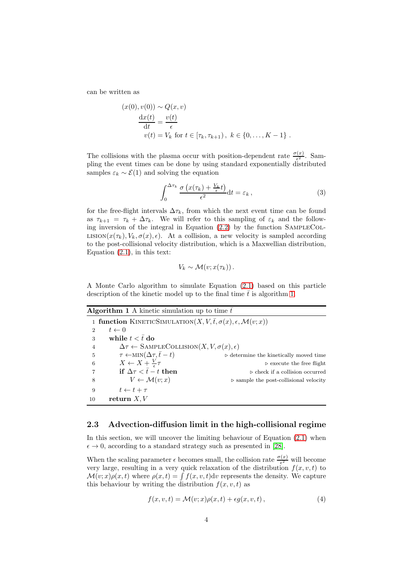can be written as

$$
(x(0), v(0)) \sim Q(x, v)
$$
  
\n
$$
\frac{dx(t)}{dt} = \frac{v(t)}{\epsilon}
$$
  
\n
$$
v(t) = V_k \text{ for } t \in [\tau_k, \tau_{k+1}), k \in \{0, \dots, K-1\}.
$$

The collisions with the plasma occur with position-dependent rate  $\frac{\sigma(x)}{\epsilon^2}$ . Sampling the event times can be done by using standard exponentially distributed samples  $\varepsilon_k \sim \mathcal{E}(1)$  and solving the equation

$$
\int_0^{\Delta \tau_k} \frac{\sigma \left( x(\tau_k) + \frac{V_k}{\epsilon} t \right)}{\epsilon^2} dt = \varepsilon_k , \qquad (3)
$$

for the free-flight intervals  $\Delta \tau_k$ , from which the next event time can be found as  $\tau_{k+1} = \tau_k + \Delta \tau_k$ . We will refer to this sampling of  $\varepsilon_k$  and the following inversion of the integral in Equation  $(2.2)$  by the function SAMPLECOL-LISION $(x(\tau_k), V_k, \sigma(x), \epsilon)$ . At a collision, a new velocity is sampled according to the post-collisional velocity distribution, which is a Maxwellian distribution, Equation  $(2.1)$ , in this text:

$$
V_k \sim \mathcal{M}(v; x(\tau_k))\,.
$$

A Monte Carlo algorithm to simulate Equation [\(2.1\)](#page-2-0) based on this particle description of the kinetic model up to the final time  $\bar{t}$  is algorithm [1.](#page-3-1)

<span id="page-3-1"></span>

| <b>Algorithm 1</b> A kinetic simulation up to time $\bar{t}$ |  |  |  |  |  |  |  |  |
|--------------------------------------------------------------|--|--|--|--|--|--|--|--|
|--------------------------------------------------------------|--|--|--|--|--|--|--|--|

| 1 function KINETICSIMULATION(X, $V, \overline{t}, \sigma(x), \epsilon, \mathcal{M}(v; x)$ ) |                                                       |
|---------------------------------------------------------------------------------------------|-------------------------------------------------------|
| $t \leftarrow 0$<br>$\overline{2}$                                                          |                                                       |
| while $t < \overline{t}$ do<br>3                                                            |                                                       |
| $\Delta \tau \leftarrow$ SAMPLECOLLISION $(X, V, \sigma(x), \epsilon)$<br>$\overline{4}$    |                                                       |
| $\tau \leftarrow \text{MIN}(\Delta \tau, \bar{t} - t)$<br>5                                 | $\triangleright$ determine the kinetically moved time |
| $X \leftarrow X + \frac{V}{\epsilon} \tau$<br>6                                             | $\triangleright$ execute the free flight              |
| if $\Delta \tau < \bar{t} - t$ then                                                         | $\triangleright$ check if a collision occurred        |
| $V \leftarrow \mathcal{M}(v; x)$<br>8                                                       | $\triangleright$ sample the post-collisional velocity |
| $t \leftarrow t + \tau$<br>9                                                                |                                                       |
| return $X, V$<br>10                                                                         |                                                       |

#### <span id="page-3-0"></span>2.3 Advection-diffusion limit in the high-collisional regime

In this section, we will uncover the limiting behaviour of Equation [\(2.1\)](#page-2-0) when  $\epsilon \to 0$ , according to a standard strategy such as presented in [\[28\]](#page-30-9).

When the scaling parameter  $\epsilon$  becomes small, the collision rate  $\frac{\sigma(x)}{\epsilon^2}$  will become very large, resulting in a very quick relaxation of the distribution  $f(x, v, t)$  to  $\mathcal{M}(v; x)\rho(x, t)$  where  $\rho(x, t) = \int f(x, v, t) dv$  represents the density. We capture this behaviour by writing the distribution  $f(x, v, t)$  as

$$
f(x, v, t) = \mathcal{M}(v; x)\rho(x, t) + \epsilon g(x, v, t), \qquad (4)
$$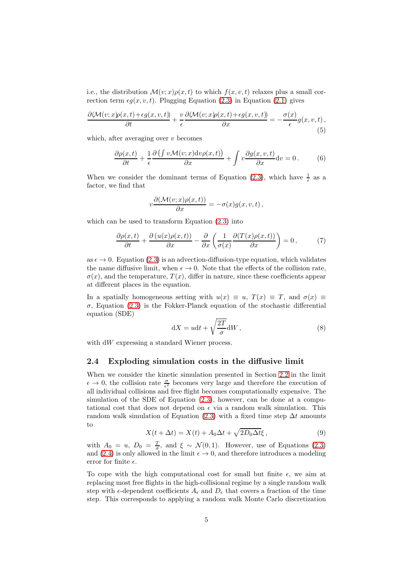i.e., the distribution  $\mathcal{M}(v; x)\rho(x, t)$  to which  $f(x, v, t)$  relaxes plus a small correction term  $\epsilon g(x, v, t)$ . Plugging Equation [\(2.3\)](#page-3-0) in Equation [\(2.1\)](#page-2-0) gives

$$
\frac{\partial \langle \mathcal{M}(v;x)\rho(x,t) + \epsilon g(x,v,t) \rangle}{\partial t} + \frac{v}{\epsilon} \frac{\partial \langle \mathcal{M}(v;x)\rho(x,t) + \epsilon g(x,v,t) \rangle}{\partial x} = -\frac{\sigma(x)}{\epsilon} g(x,v,t),\tag{5}
$$

which, after averaging over  $v$  becomes

$$
\frac{\partial \rho(x,t)}{\partial t} + \frac{1}{\epsilon} \frac{\partial \left( \int v \mathcal{M}(v;x) \mathrm{d}v \rho(x,t) \right)}{\partial x} + \int v \frac{\partial g(x,v,t)}{\partial x} \mathrm{d}v = 0. \tag{6}
$$

When we consider the dominant terms of Equation [\(2.3\)](#page-3-0), which have  $\frac{1}{\epsilon}$  as a factor, we find that

$$
v\frac{\partial(\mathcal{M}(v;x)\rho(x,t))}{\partial x}=-\sigma(x)g(x,v,t)\,,
$$

which can be used to transform Equation [\(2.3\)](#page-3-0) into

$$
\frac{\partial \rho(x,t)}{\partial t} + \frac{\partial (u(x)\rho(x,t))}{\partial x} - \frac{\partial}{\partial x} \left( \frac{1}{\sigma(x)} \frac{\partial (T(x)\rho(x,t))}{\partial x} \right) = 0, \tag{7}
$$

as  $\epsilon \to 0$ . Equation [\(2.3\)](#page-3-0) is an advection-diffusion-type equation, which validates the name diffusive limit, when  $\epsilon \to 0$ . Note that the effects of the collision rate,  $\sigma(x)$ , and the temperature,  $T(x)$ , differ in nature, since these coefficients appear at different places in the equation.

In a spatially homogeneous setting with  $u(x) \equiv u$ ,  $T(x) \equiv T$ , and  $\sigma(x) \equiv$  $\sigma$ , Equation [\(2.3\)](#page-3-0) is the Fokker-Planck equation of the stochastic differential equation (SDE)

$$
dX = udt + \sqrt{\frac{2T}{\sigma}}dW,
$$
\n(8)

<span id="page-4-0"></span>with dW expressing a standard Wiener process.

#### 2.4 Exploding simulation costs in the diffusive limit

When we consider the kinetic simulation presented in Section [2.2](#page-2-1) in the limit  $\epsilon \to 0$ , the collision rate  $\frac{\sigma}{\epsilon^2}$  becomes very large and therefore the execution of all individual collisions and free flight becomes computationally expensive. The simulation of the SDE of Equation  $(2.3)$ , however, can be done at a computational cost that does not depend on  $\epsilon$  via a random walk simulation. This random walk simulation of Equation [\(2.3\)](#page-3-0) with a fixed time step  $\Delta t$  amounts to

$$
X(t + \Delta t) = X(t) + A_0 \Delta t + \sqrt{2D_0 \Delta t} \xi, \qquad (9)
$$

with  $A_0 = u$ ,  $D_0 = \frac{T}{\sigma}$ , and  $\xi \sim \mathcal{N}(0, 1)$ . However, use of Equations [\(2.3\)](#page-3-0) and [\(2.4\)](#page-4-0) is only allowed in the limit  $\epsilon \to 0$ , and therefore introduces a modeling error for finite  $\epsilon$ .

To cope with the high computational cost for small but finite  $\epsilon$ , we aim at replacing most free flights in the high-collisional regime by a single random walk step with  $\epsilon$ -dependent coefficients  $A_{\epsilon}$  and  $D_{\epsilon}$  that covers a fraction of the time step. This corresponds to applying a random walk Monte Carlo discretization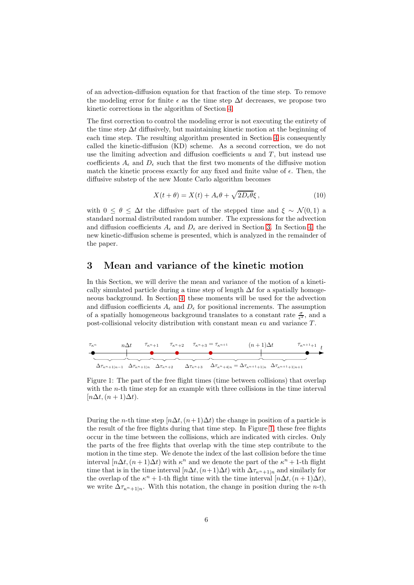of an advection-diffusion equation for that fraction of the time step. To remove the modeling error for finite  $\epsilon$  as the time step  $\Delta t$  decreases, we propose two kinetic corrections in the algorithm of Section [4.](#page-12-0)

The first correction to control the modeling error is not executing the entirety of the time step  $\Delta t$  diffusively, but maintaining kinetic motion at the beginning of each time step. The resulting algorithm presented in Section [4](#page-12-0) is consequently called the kinetic-diffusion (KD) scheme. As a second correction, we do not use the limiting advection and diffusion coefficients  $u$  and  $T$ , but instead use coefficients  $A_{\epsilon}$  and  $D_{\epsilon}$  such that the first two moments of the diffusive motion match the kinetic process exactly for any fixed and finite value of  $\epsilon$ . Then, the diffusive substep of the new Monte Carlo algorithm becomes

$$
X(t + \theta) = X(t) + A_{\epsilon}\theta + \sqrt{2D_{\epsilon}\theta}\xi, \qquad (10)
$$

with  $0 \leq \theta \leq \Delta t$  the diffusive part of the stepped time and  $\xi \sim \mathcal{N}(0, 1)$  a standard normal distributed random number. The expressions for the advection and diffusion coefficients  $A_{\epsilon}$  and  $D_{\epsilon}$  are derived in Section [3.](#page-5-0) In Section [4,](#page-12-0) the new kinetic-diffusion scheme is presented, which is analyzed in the remainder of the paper.

### <span id="page-5-0"></span>3 Mean and variance of the kinetic motion

In this Section, we will derive the mean and variance of the motion of a kinetically simulated particle during a time step of length  $\Delta t$  for a spatially homogeneous background. In Section [4,](#page-12-0) these moments will be used for the advection and diffusion coefficients  $A_{\epsilon}$  and  $D_{\epsilon}$  for positional increments. The assumption of a spatially homogeneous background translates to a constant rate  $\frac{\sigma}{\epsilon^2}$ , and a post-collisional velocity distribution with constant mean  $\epsilon u$  and variance  $T$ .

<span id="page-5-1"></span>

Figure 1: The part of the free flight times (time between collisions) that overlap with the *n*-th time step for an example with three collisions in the time interval  $[n\Delta t, (n+1)\Delta t].$ 

During the *n*-th time step  $[n\Delta t, (n+1)\Delta t]$  the change in position of a particle is the result of the free flights during that time step. In Figure [1,](#page-5-1) these free flights occur in the time between the collisions, which are indicated with circles. Only the parts of the free flights that overlap with the time step contribute to the motion in the time step. We denote the index of the last collision before the time interval  $[n\Delta t, (n+1)\Delta t)$  with  $\kappa^n$  and we denote the part of the  $\kappa^n + 1$ -th flight time that is in the time interval  $[n\Delta t, (n+1)\Delta t)$  with  $\Delta \tau_{\kappa^{n}+1|n}$  and similarly for the overlap of the  $\kappa^n$  + 1-th flight time with the time interval  $[n\Delta t, (n+1)\Delta t)$ , we write  $\Delta \tau_{\kappa^{n}+1|n}$ . With this notation, the change in position during the *n*-th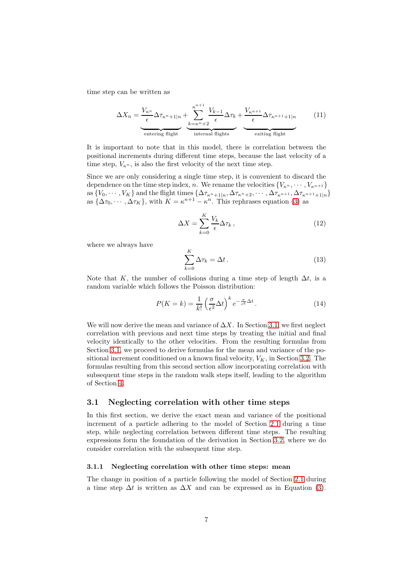time step can be written as

$$
\Delta X_n = \underbrace{\frac{V_{\kappa^n}}{\epsilon} \Delta \tau_{\kappa^n+1|n}}_{\text{entering flight}} + \underbrace{\sum_{k=\kappa^n+2}^{\kappa^{n+1}} \frac{V_{k-1}}{\epsilon} \Delta \tau_k}_{\text{internal flights}} + \underbrace{\frac{V_{\kappa^{n+1}}}{\epsilon} \Delta \tau_{\kappa^{n+1}+1|n}}_{\text{extting flight}} \tag{11}
$$

It is important to note that in this model, there is correlation between the positional increments during different time steps, because the last velocity of a time step,  $V_{\kappa_n}$ , is also the first velocity of the next time step.

Since we are only considering a single time step, it is convenient to discard the dependence on the time step index, n. We rename the velocities  $\{V_{\kappa^n}, \cdots, V_{\kappa^{n+1}}\}$ as  $\{V_0, \cdots, V_K\}$  and the flight times  $\{\Delta \tau_{\kappa^n+1|n}, \Delta \tau_{\kappa^n+2}, \cdots, \Delta \tau_{\kappa^{n+1}}, \Delta \tau_{\kappa^{n+1}+1|n}\}$ as  $\{\Delta \tau_0, \cdots, \Delta \tau_K\}$ , with  $K = \kappa^{n+1} - \kappa^n$ . This rephrases equation [\(3\)](#page-5-1) as

$$
\Delta X = \sum_{k=0}^{K} \frac{V_k}{\epsilon} \Delta \tau_k, \qquad (12)
$$

where we always have

$$
\sum_{k=0}^{K} \Delta \tau_k = \Delta t \,. \tag{13}
$$

Note that K, the number of collisions during a time step of length  $\Delta t$ , is a random variable which follows the Poisson distribution:

$$
P(K=k) = \frac{1}{k!} \left(\frac{\sigma}{\epsilon^2} \Delta t\right)^k e^{-\frac{\sigma}{\epsilon^2} \Delta t}.
$$
 (14)

We will now derive the mean and variance of  $\Delta X$ . In Section [3.1,](#page-6-0) we first neglect correlation with previous and next time steps by treating the initial and final velocity identically to the other velocities. From the resulting formulas from Section [3.1,](#page-6-0) we proceed to derive formulas for the mean and variance of the positional increment conditioned on a known final velocity,  $V_K$ , in Section [3.2.](#page-10-0) The formulas resulting from this second section allow incorporating correlation with subsequent time steps in the random walk steps itself, leading to the algorithm of Section [4.](#page-12-0)

#### <span id="page-6-0"></span>3.1 Neglecting correlation with other time steps

In this first section, we derive the exact mean and variance of the positional increment of a particle adhering to the model of Section [2.1](#page-2-0) during a time step, while neglecting correlation between different time steps. The resulting expressions form the foundation of the derivation in Section [3.2,](#page-10-0) where we do consider correlation with the subsequent time step.

#### <span id="page-6-1"></span>3.1.1 Neglecting correlation with other time steps: mean

The change in position of a particle following the model of Section [2.1](#page-2-0) during a time step  $\Delta t$  is written as  $\Delta X$  and can be expressed as in Equation [\(3\)](#page-5-1).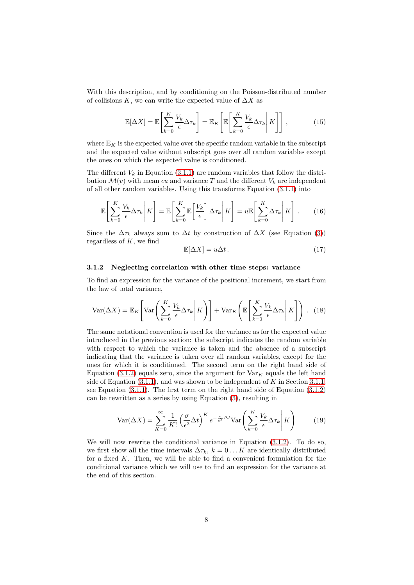With this description, and by conditioning on the Poisson-distributed number of collisions K, we can write the expected value of  $\Delta X$  as

$$
\mathbb{E}[\Delta X] = \mathbb{E}\left[\sum_{k=0}^{K} \frac{V_k}{\epsilon} \Delta \tau_k\right] = \mathbb{E}_K \left[\mathbb{E}\left[\sum_{k=0}^{K} \frac{V_k}{\epsilon} \Delta \tau_k \middle| K\right]\right],\tag{15}
$$

where  $\mathbb{E}_K$  is the expected value over the specific random variable in the subscript and the expected value without subscript goes over all random variables except the ones on which the expected value is conditioned.

The different  $V_k$  in Equation [\(3.1.1\)](#page-6-1) are random variables that follow the distribution  $\mathcal{M}(v)$  with mean  $\epsilon u$  and variance T and the different  $V_k$  are independent of all other random variables. Using this transforms Equation [\(3.1.1\)](#page-6-1) into

$$
\mathbb{E}\left[\sum_{k=0}^{K} \frac{V_k}{\epsilon} \Delta \tau_k \middle| K \right] = \mathbb{E}\left[\sum_{k=0}^{K} \mathbb{E}\left[\frac{V_k}{\epsilon}\right] \Delta \tau_k \middle| K \right] = u \mathbb{E}\left[\sum_{k=0}^{K} \Delta \tau_k \middle| K \right]. \tag{16}
$$

Since the  $\Delta \tau_k$  always sum to  $\Delta t$  by construction of  $\Delta X$  (see Equation [\(3\)](#page-5-1)) regardless of  $K$ , we find

$$
\mathbb{E}[\Delta X] = u\Delta t. \tag{17}
$$

#### <span id="page-7-0"></span>3.1.2 Neglecting correlation with other time steps: variance

To find an expression for the variance of the positional increment, we start from the law of total variance,

$$
\text{Var}(\Delta X) = \mathbb{E}_K \left[ \text{Var} \left( \sum_{k=0}^K \frac{V_k}{\epsilon} \Delta \tau_k \middle| K \right) \right] + \text{Var}_K \left( \mathbb{E} \left[ \sum_{k=0}^K \frac{V_k}{\epsilon} \Delta \tau_k \middle| K \right] \right). \tag{18}
$$

The same notational convention is used for the variance as for the expected value introduced in the previous section: the subscript indicates the random variable with respect to which the variance is taken and the absence of a subscript indicating that the variance is taken over all random variables, except for the ones for which it is conditioned. The second term on the right hand side of Equation [\(3.1.2\)](#page-7-0) equals zero, since the argument for  $Var_K$  equals the left hand side of Equation  $(3.1.1)$ , and was shown to be independent of K in Section [3.1.1,](#page-6-1) see Equation [\(3.1.1\)](#page-6-1). The first term on the right hand side of Equation [\(3.1.2\)](#page-7-0) can be rewritten as a series by using Equation [\(3\)](#page-5-1), resulting in

$$
Var(\Delta X) = \sum_{K=0}^{\infty} \frac{1}{K!} \left(\frac{\sigma}{\epsilon^2} \Delta t\right)^K e^{-\frac{\sigma}{\epsilon^2} \Delta t} Var\left(\sum_{k=0}^K \frac{V_k}{\epsilon} \Delta \tau_k \middle| K\right) \tag{19}
$$

We will now rewrite the conditional variance in Equation [\(3.1.2\)](#page-7-0). To do so, we first show all the time intervals  $\Delta \tau_k$ ,  $k = 0 \dots K$  are identically distributed for a fixed  $K$ . Then, we will be able to find a convenient formulation for the conditional variance which we will use to find an expression for the variance at the end of this section.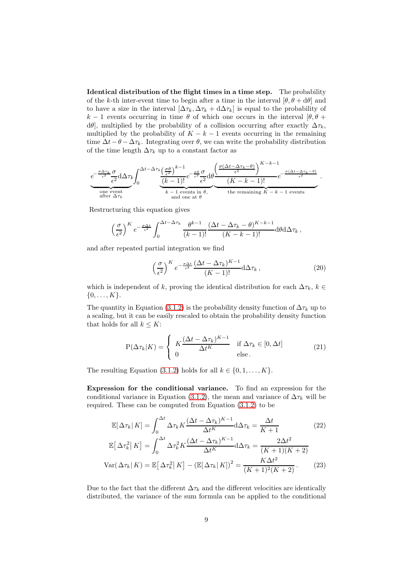<span id="page-8-0"></span>Identical distribution of the flight times in a time step. The probability of the k-th inter-event time to begin after a time in the interval  $[\theta, \theta + d\theta]$  and to have a size in the interval  $[\Delta \tau_k, \Delta \tau_k + d \Delta \tau_k]$  is equal to the probability of k − 1 events occurring in time  $\theta$  of which one occurs in the interval  $[\theta, \theta +$  $d\theta$ , multiplied by the probability of a collision occurring after exactly  $\Delta \tau_k$ , multiplied by the probability of  $K - k - 1$  events occurring in the remaining time  $\Delta t - \theta - \Delta \tau_k$ . Integrating over  $\theta$ , we can write the probability distribution of the time length  $\Delta \tau_k$  up to a constant factor as

$$
e^{-\frac{\sigma \Delta \tau_k}{\epsilon^2}} \frac{\sigma}{\epsilon^2} d\Delta \tau_k \int_0^{\Delta t - \Delta \tau_k} \frac{\left(\frac{\sigma \theta}{\epsilon^2}\right)^{k-1}}{\left(k-1\right)!} e^{-\frac{\sigma \theta}{\epsilon^2}} \frac{\sigma}{\epsilon^2} d\theta \frac{\left(\frac{\sigma (\Delta t - \Delta \tau_k - \theta)}{\epsilon^2}\right)^{K-k-1}}{\left(K-k-1\right)!} e^{-\frac{\sigma (\Delta t - \Delta \tau_k - \theta)}{\epsilon^2}}.
$$
\n
$$
\frac{\text{one event}}{\text{after } \Delta \tau_k} \frac{k-1 \text{ events in } \theta, \qquad \text{the remaining } K-k-1 \text{ events}}{\text{and one at } \theta}.
$$

Restructuring this equation gives

$$
\left(\frac{\sigma}{\epsilon^2}\right)^K e^{-\frac{\sigma \Delta t}{\epsilon^2}} \int_0^{\Delta t - \Delta \tau_k} \frac{\theta^{k-1}}{(k-1)!} \frac{(\Delta t - \Delta \tau_k - \theta)^{K-k-1}}{(K-k-1)!} d\theta d\Delta \tau_k,
$$

and after repeated partial integration we find

$$
\left(\frac{\sigma}{\epsilon^2}\right)^K e^{-\frac{\sigma \Delta t}{\epsilon^2}} \frac{(\Delta t - \Delta \tau_k)^{K-1}}{(K-1)!} d\Delta \tau_k ,\qquad (20)
$$

which is independent of k, proving the identical distribution for each  $\Delta \tau_k$ ,  $k \in$  $\{0, \ldots, K\}.$ 

The quantity in Equation [\(3.1.2\)](#page-8-0) is the probability density function of  $\Delta \tau_k$  up to a scaling, but it can be easily rescaled to obtain the probability density function that holds for all  $k \leq K$ :

$$
P(\Delta \tau_k | K) = \begin{cases} K \frac{(\Delta t - \Delta \tau_k)^{K-1}}{\Delta t^K} & \text{if } \Delta \tau_k \in [0, \Delta t] \\ 0 & \text{else.} \end{cases}
$$
(21)

The resulting Equation [\(3.1.2\)](#page-8-0) holds for all  $k \in \{0, 1, \ldots, K\}$ .

<span id="page-8-1"></span>Expression for the conditional variance. To find an expression for the conditional variance in Equation [\(3.1.2\)](#page-7-0), the mean and variance of  $\Delta \tau_k$  will be required. These can be computed from Equation [\(3.1.2\)](#page-8-0) to be

$$
\mathbb{E}[\Delta \tau_k | K] = \int_0^{\Delta t} \Delta \tau_k K \frac{(\Delta t - \Delta \tau_k)^{K-1}}{\Delta t^K} d\Delta \tau_k = \frac{\Delta t}{K+1}
$$
(22)

$$
\mathbb{E}\left[\left.\Delta\tau_k^2\right|K\right] = \int_0^{\Delta t} \Delta\tau_k^2 K \frac{(\Delta t - \Delta\tau_k)^{K-1}}{\Delta t^K} d\Delta\tau_k = \frac{2\Delta t^2}{(K+1)(K+2)}
$$
\n
$$
\text{Var}\left(\left.\Delta\tau_k\right|K\right) = \mathbb{E}\left[\left.\Delta\tau_k^2\right|K\right] - \left(\mathbb{E}\left[\left.\Delta\tau_k\right|K\right]\right)^2 = \frac{K\Delta t^2}{(K+1)^2(K+2)}\,. \tag{23}
$$

Due to the fact that the different  $\Delta \tau_k$  and the different velocities are identically distributed, the variance of the sum formula can be applied to the conditional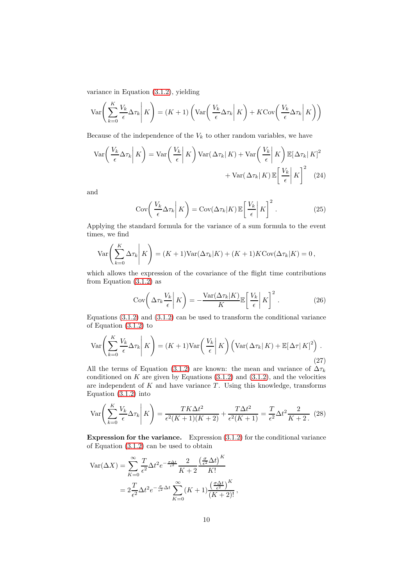variance in Equation [\(3.1.2\)](#page-7-0), yielding

$$
\operatorname{Var}\left(\sum_{k=0}^{K} \frac{V_k}{\epsilon} \Delta \tau_k \middle| K\right) = (K+1) \left( \operatorname{Var}\left(\left.\frac{V_k}{\epsilon} \Delta \tau_k \middle| K\right) + K \operatorname{Cov}\left(\left.\frac{V_k}{\epsilon} \Delta \tau_k \middle| K\right) \right) \right)
$$

Because of the independence of the  $V_k$  to other random variables, we have

$$
\text{Var}\left(\frac{V_k}{\epsilon} \Delta \tau_k \middle| K\right) = \text{Var}\left(\frac{V_k}{\epsilon} \middle| K\right) \text{Var}(\Delta \tau_k | K) + \text{Var}\left(\frac{V_k}{\epsilon} \middle| K\right) \mathbb{E}[\Delta \tau_k | K]^2 + \text{Var}(\Delta \tau_k | K) \mathbb{E}\left[\frac{V_k}{\epsilon} \middle| K\right]^2 \tag{24}
$$

and

$$
Cov\left(\left.\frac{V_k}{\epsilon}\Delta\tau_k\right|K\right) = Cov(\Delta\tau_k|K)\mathbb{E}\left[\left.\frac{V_k}{\epsilon}\right|K\right]^2.
$$
 (25)

Applying the standard formula for the variance of a sum formula to the event times, we find

$$
\text{Var}\left(\sum_{k=0}^K \Delta \tau_k \middle| K\right) = (K+1)\text{Var}(\Delta \tau_k | K) + (K+1)K\text{Cov}(\Delta \tau_k | K) = 0,
$$

which allows the expression of the covariance of the flight time contributions from Equation  $(3.1.2)$  as

$$
Cov\left(\Delta\tau_k \frac{V_k}{\epsilon} \middle| K\right) = -\frac{Var(\Delta\tau_k|K)}{K} \mathbb{E}\left[\frac{V_k}{\epsilon} \middle| K\right]^2.
$$
 (26)

Equations  $(3.1.2)$  and  $(3.1.2)$  can be used to transform the conditional variance of Equation [\(3.1.2\)](#page-7-0) to

$$
\operatorname{Var}\left(\sum_{k=0}^{K} \frac{V_k}{\epsilon} \Delta \tau_k \middle| K\right) = (K+1) \operatorname{Var}\left(\frac{V_k}{\epsilon} \middle| K\right) \left(\operatorname{Var}(\Delta \tau_k | K) + \mathbb{E}[\Delta \tau | K]^2\right). \tag{27}
$$

All the terms of Equation [\(3.1.2\)](#page-8-1) are known: the mean and variance of  $\Delta \tau_k$ conditioned on  $K$  are given by Equations  $(3.1.2)$  and  $(3.1.2)$ , and the velocities are independent of  $K$  and have variance  $T$ . Using this knowledge, transforms Equation [\(3.1.2\)](#page-8-1) into

$$
\text{Var}\left(\sum_{k=0}^{K} \frac{V_k}{\epsilon} \Delta \tau_k \middle| K\right) = \frac{TK\Delta t^2}{\epsilon^2 (K+1)(K+2)} + \frac{T\Delta t^2}{\epsilon^2 (K+1)} = \frac{T}{\epsilon^2} \Delta t^2 \frac{2}{K+2}.
$$
 (28)

<span id="page-9-0"></span>Expression for the variance. Expression [\(3.1.2\)](#page-8-1) for the conditional variance of Equation [\(3.1.2\)](#page-7-0) can be used to obtain

$$
\begin{split} \text{Var}(\Delta X) &= \sum_{K=0}^{\infty} \frac{T}{\epsilon^2} \Delta t^2 e^{-\frac{\sigma \Delta t}{\epsilon^2}} \frac{2}{K+2} \frac{\left(\frac{\sigma}{\epsilon^2} \Delta t\right)^K}{K!} \\ &= 2 \frac{T}{\epsilon^2} \Delta t^2 e^{-\frac{\sigma}{\epsilon^2} \Delta t} \sum_{K=0}^{\infty} (K+1) \frac{\left(\frac{\sigma \Delta t}{\epsilon^2}\right)^K}{(K+2)!} \,, \end{split}
$$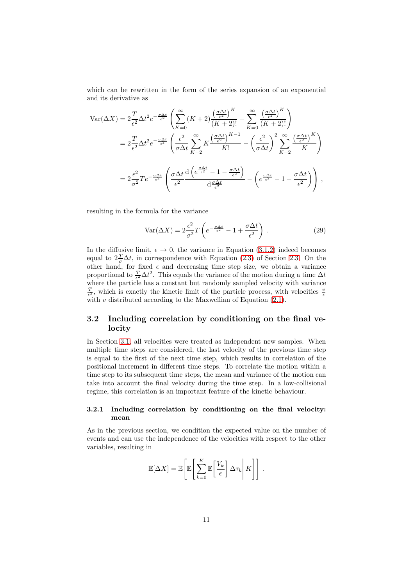which can be rewritten in the form of the series expansion of an exponential and its derivative as

$$
\begin{split} \text{Var}(\Delta X) &= 2 \frac{T}{\epsilon^2} \Delta t^2 e^{-\frac{\sigma \Delta t}{\epsilon^2}} \left( \sum_{K=0}^{\infty} (K+2) \frac{\left(\frac{\sigma \Delta t}{\epsilon^2}\right)^K}{(K+2)!} - \sum_{K=0}^{\infty} \frac{\left(\frac{\sigma \Delta t}{\epsilon^2}\right)^K}{(K+2)!} \right) \\ &= 2 \frac{T}{\epsilon^2} \Delta t^2 e^{-\frac{\sigma \Delta t}{\epsilon^2}} \left( \frac{\epsilon^2}{\sigma \Delta t} \sum_{K=2}^{\infty} K \frac{\left(\frac{\sigma \Delta t}{\epsilon^2}\right)^{K-1}}{K!} - \left(\frac{\epsilon^2}{\sigma \Delta t}\right)^2 \sum_{K=2}^{\infty} \frac{\left(\frac{\sigma \Delta t}{\epsilon^2}\right)^K}{K} \right) \\ &= 2 \frac{\epsilon^2}{\sigma^2} T e^{-\frac{\sigma \Delta t}{\epsilon^2}} \left( \frac{\sigma \Delta t}{\epsilon^2} \frac{\mathrm{d} \left(e^{\frac{\sigma \Delta t}{\epsilon^2}} - 1 - \frac{\sigma \Delta t}{\epsilon^2}\right)}{\mathrm{d} \frac{\sigma \Delta t}{\epsilon^2}} - \left(e^{\frac{\sigma \Delta t}{\epsilon^2}} - 1 - \frac{\sigma \Delta t}{\epsilon^2}\right) \right) \,, \end{split}
$$

resulting in the formula for the variance

$$
Var(\Delta X) = 2\frac{\epsilon^2}{\sigma^2}T\left(e^{-\frac{\sigma\Delta t}{\epsilon^2}} - 1 + \frac{\sigma\Delta t}{\epsilon^2}\right).
$$
 (29)

In the diffusive limit,  $\epsilon \to 0$ , the variance in Equation [\(3.1.2\)](#page-9-0) indeed becomes equal to  $2\frac{T}{\sigma}\Delta t$ , in correspondence with Equation [\(2.3\)](#page-3-0) of Section [2.3.](#page-3-0) On the other hand, for fixed  $\epsilon$  and decreasing time step size, we obtain a variance proportional to  $\frac{T}{\epsilon^2} \Delta t^2$ . This equals the variance of the motion during a time  $\Delta t$ where the particle has a constant but randomly sampled velocity with variance  $\frac{T}{\epsilon^2}$ , which is exactly the kinetic limit of the particle process, with velocities  $\frac{v}{\epsilon}$ with  $v$  distributed according to the Maxwellian of Equation  $(2.1)$ .

### <span id="page-10-0"></span>3.2 Including correlation by conditioning on the final velocity

In Section [3.1,](#page-6-0) all velocities were treated as independent new samples. When multiple time steps are considered, the last velocity of the previous time step is equal to the first of the next time step, which results in correlation of the positional increment in different time steps. To correlate the motion within a time step to its subsequent time steps, the mean and variance of the motion can take into account the final velocity during the time step. In a low-collisional regime, this correlation is an important feature of the kinetic behaviour.

#### <span id="page-10-1"></span>3.2.1 Including correlation by conditioning on the final velocity: mean

As in the previous section, we condition the expected value on the number of events and can use the independence of the velocities with respect to the other variables, resulting in

$$
\mathbb{E}[\Delta X] = \mathbb{E}\left[\mathbb{E}\left[\sum_{k=0}^K \mathbb{E}\left[\frac{V_k}{\epsilon}\right] \Delta \tau_k \middle| K\right]\right].
$$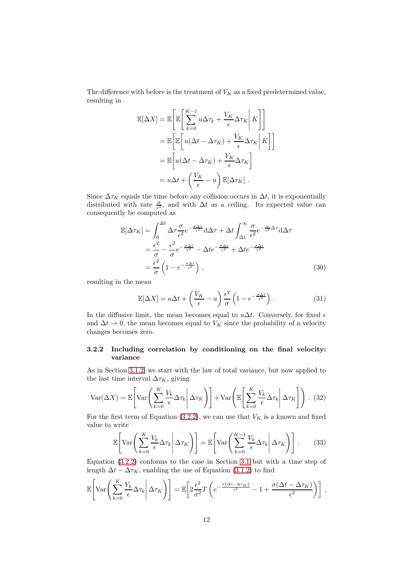The difference with before is the treatment of  $V_K$  as a fixed predetermined value, resulting in

$$
\mathbb{E}[\Delta X] = \mathbb{E}\left[\mathbb{E}\left[\sum_{k=0}^{K-1} u\Delta \tau_k + \frac{V_K}{\epsilon} \Delta \tau_K \middle| K\right]\right]
$$
  
\n
$$
= \mathbb{E}\left[\mathbb{E}\left[u(\Delta t - \Delta \tau_K) + \frac{V_K}{\epsilon} \Delta \tau_K \middle| K\right]\right]
$$
  
\n
$$
= \mathbb{E}\left[u(\Delta t - \Delta \tau_K) + \frac{V_K}{\epsilon} \Delta \tau_K\right]
$$
  
\n
$$
= u\Delta t + \left(\frac{V_K}{\epsilon} - u\right) \mathbb{E}[\Delta \tau_K].
$$

Since  $\Delta \tau_K$  equals the time before any collision occurs in  $\Delta t$ , it is exponentially distributed with rate  $\frac{\sigma}{\epsilon^2}$ , and with  $\Delta t$  as a ceiling. Its expected value can consequently be computed as

$$
\mathbb{E}[\Delta \tau_K] = \int_0^{\Delta t} \Delta \tau \frac{\sigma}{\epsilon^2} e^{-\frac{\sigma \Delta \tau}{\epsilon^2}} d\Delta \tau + \Delta t \int_{\Delta t}^{\infty} \frac{\sigma}{\epsilon^2} e^{-\frac{\sigma}{\epsilon^2} \Delta \tau} d\Delta \tau \n= \frac{\epsilon^2}{\sigma} - \frac{\epsilon^2}{\sigma} e^{-\frac{\sigma \Delta t}{\epsilon^2}} - \Delta t e^{-\frac{\sigma \Delta t}{\epsilon^2}} + \Delta t e^{-\frac{\sigma \Delta t}{\epsilon^2}} \n= \frac{\epsilon^2}{\sigma} \left( 1 - e^{-\frac{\sigma \Delta t}{\epsilon^2}} \right),
$$
\n(30)

resulting in the mean

$$
\mathbb{E}[\Delta X] = u\Delta t + \left(\frac{V_K}{\epsilon} - u\right)\frac{\epsilon^2}{\sigma}\left(1 - e^{-\frac{\sigma \Delta t}{\epsilon^2}}\right). \tag{31}
$$

In the diffusive limit, the mean becomes equal to  $u\Delta t$ . Conversely, for fixed  $\epsilon$ and  $\Delta t \to 0$ , the mean becomes equal to  $V_K$  since the probability of a velocity changes becomes zero.

#### <span id="page-11-0"></span>3.2.2 Including correlation by conditioning on the final velocity: variance

As in Section [3.1.2,](#page-7-0) we start with the law of total variance, but now applied to the last time interval  $\Delta \tau_K$ , giving

$$
\text{Var}(\Delta X) = \mathbb{E}\left[\text{Var}\left(\sum_{k=0}^{K} \frac{V_k}{\epsilon} \Delta \tau_k \middle| \Delta \tau_K\right)\right] + \text{Var}\left(\mathbb{E}\left[\sum_{k=0}^{K} \frac{V_k}{\epsilon} \Delta \tau_k \middle| \Delta \tau_K\right]\right). (32)
$$

For the first term of Equation [\(3.2.2\)](#page-11-0), we can use that  $V_K$  is a known and fixed value to write

$$
\mathbb{E}\left[\text{Var}\left(\sum_{k=0}^{K} \frac{V_k}{\epsilon} \Delta \tau_k \middle| \Delta \tau_K\right)\right] = \mathbb{E}\left[\text{Var}\left(\sum_{k=0}^{K-1} \frac{V_k}{\epsilon} \Delta \tau_k \middle| \Delta \tau_K\right)\right].\tag{33}
$$

Equation [\(3.2.2\)](#page-11-0) conforms to the case in Section [3.1](#page-6-0) but with a time step of length  $\Delta t - \Delta \tau_K$ , enabling the use of Equation [\(3.1.2\)](#page-9-0) to find

$$
\mathbb{E}\left[\text{Var}\left(\sum_{k=0}^K \frac{V_k}{\epsilon} \Delta \tau_k \middle| \Delta \tau_K\right)\right] = \mathbb{E}\left[2\frac{\epsilon^2}{\sigma^2} T\left(e^{-\frac{\sigma(\Delta t - \Delta \tau_K)}{\epsilon^2}} - 1 + \frac{\sigma(\Delta t - \Delta \tau_K)}{\epsilon^2}\right)\right],
$$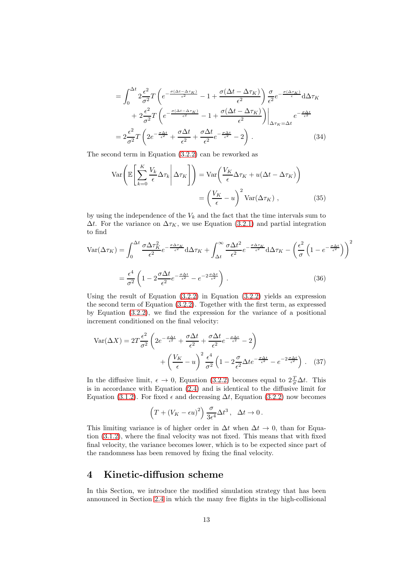$$
= \int_0^{\Delta t} 2 \frac{\epsilon^2}{\sigma^2} T \left( e^{-\frac{\sigma (\Delta t - \Delta \tau_K)}{\epsilon^2}} - 1 + \frac{\sigma (\Delta t - \Delta \tau_K)}{\epsilon^2} \right) \frac{\sigma}{\epsilon^2} e^{-\frac{\sigma (\Delta \tau_K)}{\epsilon}} d\Delta \tau_K + 2 \frac{\epsilon^2}{\sigma^2} T \left( e^{-\frac{\sigma (\Delta t - \Delta \tau_K)}{\epsilon^2}} - 1 + \frac{\sigma (\Delta t - \Delta \tau_K)}{\epsilon^2} \right) \Big|_{\Delta \tau_K = \Delta t} e^{-\frac{\sigma \Delta t}{\epsilon^2}} = 2 \frac{\epsilon^2}{\sigma^2} T \left( 2e^{-\frac{\sigma \Delta t}{\epsilon^2}} + \frac{\sigma \Delta t}{\epsilon^2} + \frac{\sigma \Delta t}{\epsilon^2} e^{-\frac{\sigma \Delta t}{\epsilon^2}} - 2 \right).
$$
(34)

The second term in Equation [\(3.2.2\)](#page-11-0) can be reworked as

$$
\operatorname{Var}\left(\mathbb{E}\left[\sum_{k=0}^{K} \frac{V_k}{\epsilon} \Delta \tau_k \middle| \Delta \tau_K\right]\right) = \operatorname{Var}\left(\frac{V_K}{\epsilon} \Delta \tau_K + u(\Delta t - \Delta \tau_K)\right)
$$

$$
= \left(\frac{V_K}{\epsilon} - u\right)^2 \operatorname{Var}(\Delta \tau_K), \tag{35}
$$

by using the independence of the  $V_k$  and the fact that the time intervals sum to  $\Delta t$ . For the variance on  $\Delta \tau_K$ , we use Equation [\(3.2.1\)](#page-10-1) and partial integration to find

$$
\text{Var}(\Delta \tau_K) = \int_0^{\Delta t} \frac{\sigma \Delta \tau_K^2}{\epsilon^2} e^{-\frac{\sigma \Delta \tau_K}{\epsilon^2}} d\Delta \tau_K + \int_{\Delta t}^{\infty} \frac{\sigma \Delta t^2}{\epsilon^2} e^{-\frac{\sigma \Delta \tau_K}{\epsilon^2}} d\Delta \tau_K - \left(\frac{\epsilon^2}{\sigma} \left(1 - e^{-\frac{\sigma \Delta t}{\epsilon^2}}\right)\right)^2
$$

$$
= \frac{\epsilon^4}{\sigma^2} \left(1 - 2\frac{\sigma \Delta t}{\epsilon^2} e^{-\frac{\sigma \Delta t}{\epsilon^2}} - e^{-2\frac{\sigma \Delta t}{\epsilon^2}}\right). \tag{36}
$$

Using the result of Equation  $(3.2.2)$  in Equation  $(3.2.2)$  yields an expression the second term of Equation [\(3.2.2\)](#page-11-0). Together with the first term, as expressed by Equation [\(3.2.2\)](#page-11-0), we find the expression for the variance of a positional increment conditioned on the final velocity:

$$
\text{Var}(\Delta X) = 2T \frac{\epsilon^2}{\sigma^2} \left( 2e^{-\frac{\sigma \Delta t}{\epsilon^2}} + \frac{\sigma \Delta t}{\epsilon^2} + \frac{\sigma \Delta t}{\epsilon^2} e^{-\frac{\sigma \Delta t}{\epsilon^2}} - 2 \right) + \left( \frac{V_K}{\epsilon} - u \right)^2 \frac{\epsilon^4}{\sigma^2} \left( 1 - 2 \frac{\sigma}{\epsilon^2} \Delta t e^{-\frac{\sigma \Delta t}{\epsilon^2}} - e^{-2 \frac{\sigma \Delta t}{\epsilon^2}} \right) . \tag{37}
$$

In the diffusive limit,  $\epsilon \to 0$ , Equation [\(3.2.2\)](#page-11-0) becomes equal to  $2\frac{T}{\sigma}\Delta t$ . This is in accordance with Equation [\(2.4\)](#page-4-0) and is identical to the diffusive limit for Equation [\(3.1.2\)](#page-9-0). For fixed  $\epsilon$  and decreasing  $\Delta t$ , Equation [\(3.2.2\)](#page-11-0) now becomes

$$
\left(T+\left(V_K-\epsilon u\right)^2\right)\frac{\sigma}{3\epsilon^4}\Delta t^3\,,\quad \Delta t\to 0\,.
$$

This limiting variance is of higher order in  $\Delta t$  when  $\Delta t \rightarrow 0$ , than for Equation [\(3.1.2\)](#page-9-0), where the final velocity was not fixed. This means that with fixed final velocity, the variance becomes lower, which is to be expected since part of the randomness has been removed by fixing the final velocity.

## <span id="page-12-0"></span>4 Kinetic-diffusion scheme

In this Section, we introduce the modified simulation strategy that has been announced in Section [2.4](#page-4-0) in which the many free flights in the high-collisional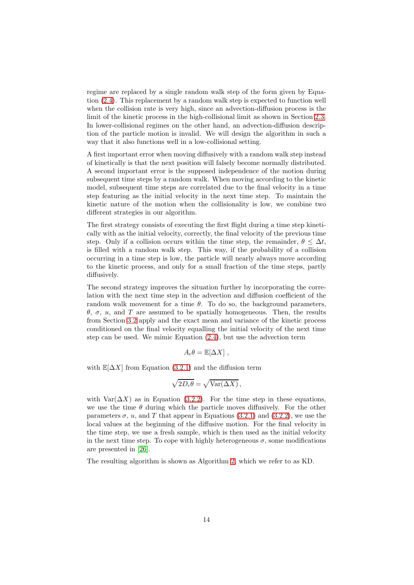regime are replaced by a single random walk step of the form given by Equation [\(2.4\)](#page-4-0). This replacement by a random walk step is expected to function well when the collision rate is very high, since an advection-diffusion process is the limit of the kinetic process in the high-collisional limit as shown in Section [2.3.](#page-3-0) In lower-collisional regimes on the other hand, an advection-diffusion description of the particle motion is invalid. We will design the algorithm in such a way that it also functions well in a low-collisional setting.

A first important error when moving diffusively with a random walk step instead of kinetically is that the next position will falsely become normally distributed. A second important error is the supposed independence of the motion during subsequent time steps by a random walk. When moving according to the kinetic model, subsequent time steps are correlated due to the final velocity in a time step featuring as the initial velocity in the next time step. To maintain the kinetic nature of the motion when the collisionality is low, we combine two different strategies in our algorithm.

The first strategy consists of executing the first flight during a time step kinetically with as the initial velocity, correctly, the final velocity of the previous time step. Only if a collision occurs within the time step, the remainder,  $\theta \leq \Delta t$ . is filled with a random walk step. This way, if the probability of a collision occurring in a time step is low, the particle will nearly always move according to the kinetic process, and only for a small fraction of the time steps, partly diffusively.

The second strategy improves the situation further by incorporating the correlation with the next time step in the advection and diffusion coefficient of the random walk movement for a time  $\theta$ . To do so, the background parameters, θ, σ, u, and T are assumed to be spatially homogeneous. Then, the results from Section [3.2](#page-10-0) apply and the exact mean and variance of the kinetic process conditioned on the final velocity equalling the initial velocity of the next time step can be used. We mimic Equation [\(2.4\)](#page-4-0), but use the advection term

$$
A_{\epsilon}\theta = \mathbb{E}[\Delta X],
$$

with  $\mathbb{E}[\Delta X]$  from Equation [\(3.2.1\)](#page-10-1) and the diffusion term

$$
\sqrt{2D_{\epsilon}\theta} = \sqrt{\text{Var}(\Delta X)},
$$

with  $\text{Var}(\Delta X)$  as in Equation [\(3.2.2\)](#page-11-0). For the time step in these equations, we use the time  $\theta$  during which the particle moves diffusively. For the other parameters  $\sigma$ , u, and T that appear in Equations [\(3.2.1\)](#page-10-1) and [\(3.2.2\)](#page-11-0), we use the local values at the beginning of the diffusive motion. For the final velocity in the time step, we use a fresh sample, which is then used as the initial velocity in the next time step. To cope with highly heterogeneous  $\sigma$ , some modifications are presented in [\[26\]](#page-30-10).

The resulting algorithm is shown as Algorithm [2,](#page-14-1) which we refer to as KD.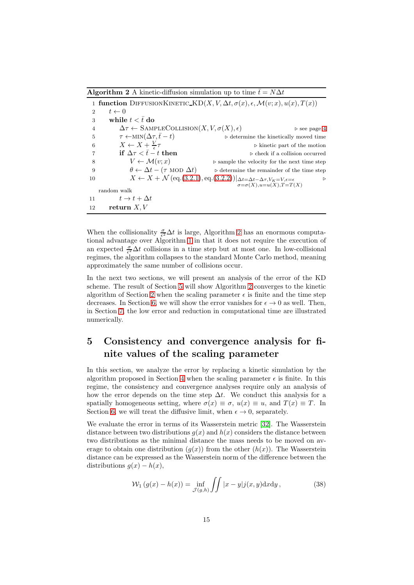<span id="page-14-1"></span>**Algorithm 2** A kinetic-diffusion simulation up to time  $\bar{t} = N\Delta t$ 

|    |                                                                        | 1 function DIFFUSIONKINETIC_KD $(X, V, \Delta t, \sigma(x), \epsilon, \mathcal{M}(v; x), u(x), T(x))$                                        |
|----|------------------------------------------------------------------------|----------------------------------------------------------------------------------------------------------------------------------------------|
| 2  | $t \leftarrow 0$                                                       |                                                                                                                                              |
| 3  | while $t < \bar{t}$ do                                                 |                                                                                                                                              |
| 4  | $\Delta \tau \leftarrow$ SAMPLECOLLISION $(X, V, \sigma(X), \epsilon)$ | $\triangleright$ see page 4                                                                                                                  |
| 5  | $\tau \leftarrow \text{MIN}(\Delta \tau, \bar{t} - t)$                 | $\triangleright$ determine the kinetically moved time                                                                                        |
| 6  | $X \leftarrow X + \frac{V}{\epsilon} \tau$                             | $\triangleright$ kinetic part of the motion                                                                                                  |
|    | if $\Delta \tau < \bar{t} - t$ then                                    | $\triangleright$ check if a collision occurred                                                                                               |
| 8  | $V \leftarrow \mathcal{M}(v; x)$                                       | $\triangleright$ sample the velocity for the next time step                                                                                  |
| 9  | $\theta \leftarrow \Delta t - (\tau \text{ MOD } \Delta t)$            | $\triangleright$ determine the remainder of the time step                                                                                    |
| 10 |                                                                        | $X \leftarrow X + \mathcal{N}(\text{eq.}(3.2.1), \text{eq.}(3.2.2)) _{\Delta t = \Delta t - \Delta \tau, V_K = V, \epsilon = \epsilon}$<br>▷ |
|    |                                                                        | $\sigma = \sigma(X), u = u(X), T = T(X)$                                                                                                     |
|    | random walk                                                            |                                                                                                                                              |
| 11 | $t \to t + \Delta t$                                                   |                                                                                                                                              |
| 12 | return $X, V$                                                          |                                                                                                                                              |

When the collisionality  $\frac{\sigma}{\epsilon^2} \Delta t$  is large, Algorithm [2](#page-14-1) has an enormous computational advantage over Algorithm [1](#page-3-1) in that it does not require the execution of an expected  $\frac{\sigma}{\epsilon^2} \Delta t$  collisions in a time step but at most one. In low-collisional regimes, the algorithm collapses to the standard Monte Carlo method, meaning approximately the same number of collisions occur.

In the next two sections, we will present an analysis of the error of the KD scheme. The result of Section [5](#page-14-0) will show Algorithm [2](#page-14-1) converges to the kinetic algorithm of Section [2](#page-1-0) when the scaling parameter  $\epsilon$  is finite and the time step decreases. In Section [6,](#page-21-0) we will show the error vanishes for  $\epsilon \to 0$  as well. Then, in Section [7,](#page-26-0) the low error and reduction in computational time are illustrated numerically.

# <span id="page-14-0"></span>5 Consistency and convergence analysis for finite values of the scaling parameter

In this section, we analyze the error by replacing a kinetic simulation by the algorithm proposed in Section [4](#page-12-0) when the scaling parameter  $\epsilon$  is finite. In this regime, the consistency and convergence analyses require only an analysis of how the error depends on the time step  $\Delta t$ . We conduct this analysis for a spatially homogeneous setting, where  $\sigma(x) \equiv \sigma$ ,  $u(x) \equiv u$ , and  $T(x) \equiv T$ . In Section [6,](#page-21-0) we will treat the diffusive limit, when  $\epsilon \to 0$ , separately.

We evaluate the error in terms of its Wasserstein metric [\[32\]](#page-30-11). The Wasserstein distance between two distributions  $q(x)$  and  $h(x)$  considers the distance between two distributions as the minimal distance the mass needs to be moved on average to obtain one distribution  $(g(x))$  from the other  $(h(x))$ . The Wasserstein distance can be expressed as the Wasserstein norm of the difference between the distributions  $g(x) - h(x)$ ,

$$
\mathcal{W}_1(g(x) - h(x)) = \inf_{\mathcal{J}(g,h)} \iint |x - y| j(x,y) \mathrm{d}x \mathrm{d}y, \tag{38}
$$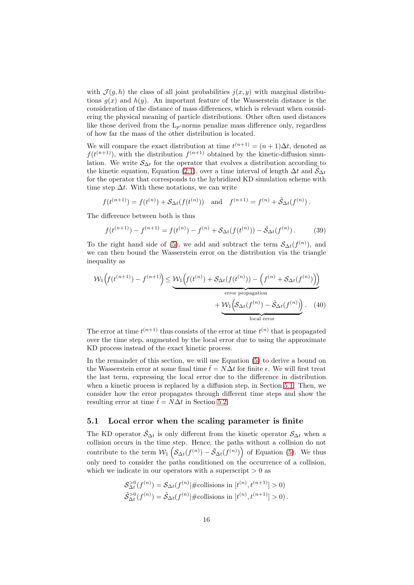with  $\mathcal{J}(g, h)$  the class of all joint probabilities  $j(x, y)$  with marginal distributions  $g(x)$  and  $h(y)$ . An important feature of the Wasserstein distance is the consideration of the distance of mass differences, which is relevant when considering the physical meaning of particle distributions. Other often used distances like those derived from the  $L_p$ -norms penalize mass difference only, regardless of how far the mass of the other distribution is located.

We will compare the exact distribution at time  $t^{(n+1)} = (n+1)\Delta t$ , denoted as  $f(t^{(n+1)})$ , with the distribution  $f^{(n+1)}$  obtained by the kinetic-diffusion simulation. We write  $\mathcal{S}_{\Delta t}$  for the operator that evolves a distribution according to the kinetic equation, Equation [\(2.1\)](#page-2-0), over a time interval of length  $\Delta t$  and  $\tilde{S}_{\Delta t}$ for the operator that corresponds to the hybridized KD simulation scheme with time step  $\Delta t$ . With these notations, we can write

$$
f(t^{(n+1)}) = f(t^{(n)}) + \mathcal{S}_{\Delta t}(f(t^{(n)}))
$$
 and  $f^{(n+1)} = f^{(n)} + \tilde{\mathcal{S}}_{\Delta t}(f^{(n)})$ .

The difference between both is thus

$$
f(t^{(n+1)}) - f^{(n+1)} = f(t^{(n)}) - f^{(n)} + \mathcal{S}_{\Delta t}(f(t^{(n)})) - \tilde{\mathcal{S}}_{\Delta t}(f^{(n)}).
$$
 (39)

To the right hand side of [\(5\)](#page-14-0), we add and subtract the term  $\mathcal{S}_{\Delta t}(f^{(n)})$ , and we can then bound the Wasserstein error on the distribution via the triangle inequality as

$$
\mathcal{W}_1\left(f(t^{(n+1)}) - f^{(n+1)}\right) \le \underbrace{\mathcal{W}_1\left(f(t^{(n)}) + \mathcal{S}_{\Delta t}(f(t^{(n)})) - \left(f^{(n)} + \mathcal{S}_{\Delta t}(f^{(n)})\right)\right)}_{\text{error propagation}} + \underbrace{\mathcal{W}_1\left(\mathcal{S}_{\Delta t}(f^{(n)}) - \tilde{\mathcal{S}}_{\Delta t}(f^{(n)})\right)}_{\text{local error}}.\tag{40}
$$

The error at time  $t^{(n+1)}$  thus consists of the error at time  $t^{(n)}$  that is propagated over the time step, augmented by the local error due to using the approximate KD process instead of the exact kinetic process.

In the remainder of this section, we will use Equation [\(5\)](#page-14-0) to derive a bound on the Wasserstein error at some final time  $\bar{t} = N\Delta t$  for finite  $\epsilon$ . We will first treat the last term, expressing the local error due to the difference in distribution when a kinetic process is replaced by a diffusion step, in Section [5.1.](#page-15-0) Then, we consider how the error propagates through different time steps and show the resulting error at time  $\bar{t} = N\Delta t$  in Section [5.2.](#page-20-0)

#### <span id="page-15-0"></span>5.1 Local error when the scaling parameter is finite

The KD operator  $\tilde{S}_{\Delta t}$  is only different from the kinetic operator  $S_{\Delta t}$  when a collision occurs in the time step. Hence, the paths without a collision do not contribute to the term  $W_1\left(\mathcal{S}_{\Delta t}(f^{(n)}) - \tilde{\mathcal{S}}_{\Delta t}(f^{(n)})\right)$  of Equation [\(5\)](#page-14-0). We thus only need to consider the paths conditioned on the occurrence of a collision, which we indicate in our operators with a superscript  $> 0$  as

$$
\mathcal{S}_{\Delta t}^{>0}(f^{(n)}) = \mathcal{S}_{\Delta t}(f^{(n)} | \# \text{collisions in } [t^{(n)}, t^{(n+1)}] > 0)
$$
  

$$
\tilde{\mathcal{S}}_{\Delta t}^{>0}(f^{(n)}) = \tilde{\mathcal{S}}_{\Delta t}(f^{(n)} | \# \text{collisions in } [t^{(n)}, t^{(n+1)}] > 0).
$$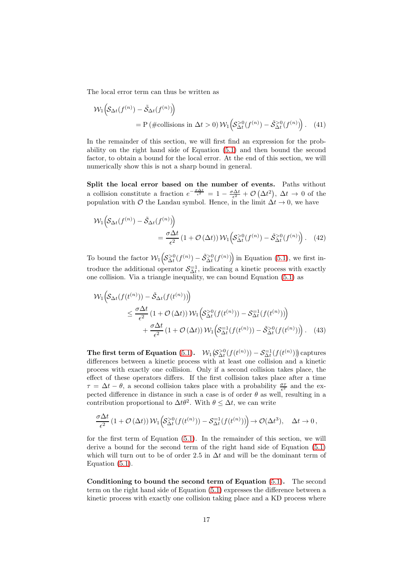The local error term can thus be written as

$$
\mathcal{W}_1\Big(\mathcal{S}_{\Delta t}(f^{(n)}) - \tilde{\mathcal{S}}_{\Delta t}(f^{(n)})\Big) \n= P(\#\text{collisions in }\Delta t > 0) \mathcal{W}_1\Big(\mathcal{S}_{\Delta t}^{>0}(f^{(n)}) - \tilde{\mathcal{S}}_{\Delta t}^{>0}(f^{(n)})\Big). \tag{41}
$$

In the remainder of this section, we will first find an expression for the probability on the right hand side of Equation [\(5.1\)](#page-15-0) and then bound the second factor, to obtain a bound for the local error. At the end of this section, we will numerically show this is not a sharp bound in general.

<span id="page-16-0"></span>Split the local error based on the number of events. Paths without a collision constitute a fraction  $e^{-\frac{\sigma \Delta t}{\epsilon^2}} = 1 - \frac{\sigma \Delta t}{\epsilon^2} + \mathcal{O}(\Delta t^2)$ ,  $\Delta t \to 0$  of the population with  $\mathcal O$  the Landau symbol. Hence, in the limit  $\Delta t \to 0$ , we have

$$
\mathcal{W}_1\Big(\mathcal{S}_{\Delta t}(f^{(n)}) - \tilde{\mathcal{S}}_{\Delta t}(f^{(n)})\Big) = \frac{\sigma \Delta t}{\epsilon^2} \left(1 + \mathcal{O}\left(\Delta t\right)\right) \mathcal{W}_1\Big(\mathcal{S}_{\Delta t}^{>0}(f^{(n)}) - \tilde{\mathcal{S}}_{\Delta t}^{>0}(f^{(n)})\Big). \tag{42}
$$

To bound the factor  $\mathcal{W}_1\left($  $\left(\mathcal{S}_{\Delta t}^{>0}(f^{(n)}) - \tilde{\mathcal{S}}_{\Delta t}^{>0}(f^{(n)})\right)$  in Equation [\(5.1\)](#page-16-0), we first introduce the additional operator  $S_{\Delta t}^{-1}$ , indicating a kinetic process with exactly one collision. Via a triangle inequality, we can bound Equation [\(5.1\)](#page-16-0) as

$$
\mathcal{W}_1\Big(\mathcal{S}_{\Delta t}(f(t^{(n)})) - \tilde{\mathcal{S}}_{\Delta t}(f(t^{(n)}))\Big) \n\leq \frac{\sigma \Delta t}{\epsilon^2} \left(1 + \mathcal{O}\left(\Delta t\right)\right) \mathcal{W}_1\Big(\mathcal{S}_{\Delta t}^{>0}(f(t^{(n)})) - \mathcal{S}_{\Delta t}^{-1}(f(t^{(n)}))\Big) \n+ \frac{\sigma \Delta t}{\epsilon^2} \left(1 + \mathcal{O}\left(\Delta t\right)\right) \mathcal{W}_1\Big(\mathcal{S}_{\Delta t}^{=1}(f(t^{(n)})) - \tilde{\mathcal{S}}_{\Delta t}^{>0}(f(t^{(n)}))\Big). \tag{43}
$$

The first term of Equation [\(5.1\)](#page-16-0).  $W_1(S_{\Delta t}^{>0}(f(t^{(n)})) - S_{\Delta t}^{-1}(f(t^{(n)})))$  captures differences between a kinetic process with at least one collision and a kinetic process with exactly one collision. Only if a second collision takes place, the effect of these operators differs. If the first collision takes place after a time  $\tau = \Delta t - \theta$ , a second collision takes place with a probability  $\frac{\sigma \tau}{\epsilon^2}$  and the expected difference in distance in such a case is of order  $\theta$  as well, resulting in a contribution proportional to  $\Delta t \theta^2$ . With  $\theta \leq \Delta t$ , we can write

$$
\frac{\sigma \Delta t}{\epsilon^2} \left(1 + \mathcal{O}\left(\Delta t\right)\right) \mathcal{W}_1\Big(\mathcal{S}_{\Delta t}^{>0}(f(t^{(n)})) - \mathcal{S}_{\Delta t}^{-1}(f(t^{(n)}))\Big) \to \mathcal{O}(\Delta t^3), \quad \Delta t \to 0,
$$

for the first term of Equation [\(5.1\)](#page-16-0). In the remainder of this section, we will derive a bound for the second term of the right hand side of Equation [\(5.1\)](#page-16-0) which will turn out to be of order 2.5 in  $\Delta t$  and will be the dominant term of Equation [\(5.1\)](#page-16-0).

<span id="page-16-1"></span>Conditioning to bound the second term of Equation [\(5.1\)](#page-16-0). The second term on the right hand side of Equation [\(5.1\)](#page-16-0) expresses the difference between a kinetic process with exactly one collision taking place and a KD process where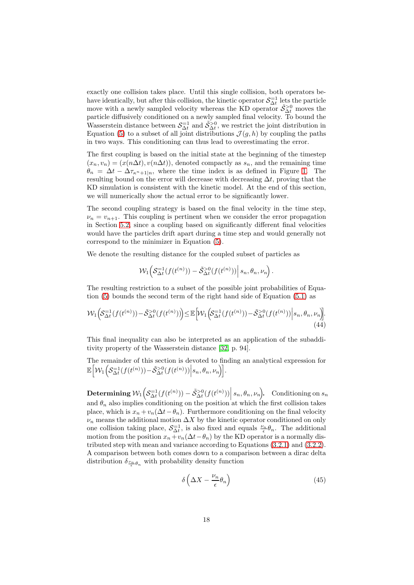exactly one collision takes place. Until this single collision, both operators behave identically, but after this collision, the kinetic operator  $S_{\Delta t}^{-1}$  lets the particle move with a newly sampled velocity whereas the KD operator  $\tilde{S}_{\Delta t}^{>0}$  moves the particle diffusively conditioned on a newly sampled final velocity. To bound the Wasserstein distance between  $S_{\Delta t}^{-1}$  and  $\tilde{S}_{\Delta t}^{>0}$ , we restrict the joint distribution in Equation [\(5\)](#page-14-0) to a subset of all joint distributions  $\mathcal{J}(g, h)$  by coupling the paths in two ways. This conditioning can thus lead to overestimating the error.

The first coupling is based on the initial state at the beginning of the timestep  $(x_n, v_n) = (x(n\Delta t), v(n\Delta t))$ , denoted compactly as  $s_n$ , and the remaining time  $\theta_n = \Delta t - \Delta \tau_{\kappa^{n}+1|n}$ , where the time index is as defined in Figure [1.](#page-5-1) The resulting bound on the error will decrease with decreasing  $\Delta t$ , proving that the KD simulation is consistent with the kinetic model. At the end of this section, we will numerically show the actual error to be significantly lower.

The second coupling strategy is based on the final velocity in the time step,  $\nu_n = v_{n+1}$ . This coupling is pertinent when we consider the error propagation in Section [5.2,](#page-20-0) since a coupling based on significantly different final velocities would have the particles drift apart during a time step and would generally not correspond to the minimizer in Equation [\(5\)](#page-14-0).

We denote the resulting distance for the coupled subset of particles as

$$
\mathcal{W}_1\Big(\mathcal{S}_{\Delta t}^{-1}(f(t^{(n)})) - \tilde{\mathcal{S}}_{\Delta t}^{>0}(f(t^{(n)}))\Big| s_n, \theta_n, \nu_n\Big).
$$

The resulting restriction to a subset of the possible joint probabilities of Equation [\(5\)](#page-14-0) bounds the second term of the right hand side of Equation [\(5.1\)](#page-16-0) as

$$
\mathcal{W}_1\Big(\mathcal{S}_{\Delta t}^{-1}(f(t^{(n)})) - \tilde{\mathcal{S}}_{\Delta t}^{>0}(f(t^{(n)}))\Big) \le \mathbb{E}\Big[\mathcal{W}_1\Big(\mathcal{S}_{\Delta t}^{-1}(f(t^{(n)})) - \tilde{\mathcal{S}}_{\Delta t}^{>0}(f(t^{(n)}))\Big|s_n, \theta_n, \nu_n\Big].\tag{44}
$$

This final inequality can also be interpreted as an application of the subadditivity property of the Wasserstein distance [\[32,](#page-30-11) p. 94].

The remainder of this section is devoted to finding an analytical expression for 
$$
\mathbb{E}\Big[\mathcal{W}_1\Big(\mathcal{S}_{\Delta t}^{-1}(f(t^{(n)}))-\tilde{\mathcal{S}}_{\Delta t}^{>0}(f(t^{(n)}))\Big|s_n,\theta_n,\nu_n\Big]\Big].
$$

<span id="page-17-0"></span> $\text{Determining }\mathcal{W}_1\Big($  $\mathcal{S}_{\Delta t}^{-1}(f(t^{(n)})) - \tilde{\mathcal{S}}_{\Delta t}^{>0}(f(t^{(n)})) \Big| s_n, \theta_n, \nu_n \Big)$ . Conditioning on  $s_n$ and  $\theta_n$  also implies conditioning on the position at which the first collision takes place, which is  $x_n + v_n(\Delta t - \theta_n)$ . Furthermore conditioning on the final velocity  $\nu_n$  means the additional motion  $\Delta X$  by the kinetic operator conditioned on only one collision taking place,  $S_{\Delta t}^{-1}$ , is also fixed and equals  $\frac{\nu_n}{\epsilon} \theta_n$ . The additional motion from the position  $x_n+v_n(\Delta t-\theta_n)$  by the KD operator is a normally distributed step with mean and variance according to Equations [\(3.2.1\)](#page-10-1) and [\(3.2.2\)](#page-11-0). A comparison between both comes down to a comparison between a dirac delta distribution  $\delta_{\frac{\nu_n}{\epsilon}\theta_n}$  with probability density function

$$
\delta\left(\Delta X - \frac{\nu_n}{\epsilon}\theta_n\right) \tag{45}
$$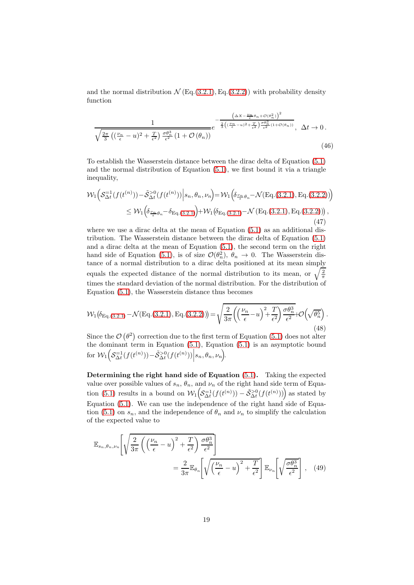and the normal distribution  $\mathcal{N}$  (Eq.[\(3.2.1\)](#page-10-1), Eq.[\(3.2.2\)](#page-11-0)) with probability density function

$$
\frac{1}{\sqrt{\frac{2\pi}{3}\left((\frac{\nu_n}{\epsilon}-u)^2+\frac{T}{\epsilon^2}\right)\frac{\sigma\theta_n^3}{\epsilon^2}\left(1+\mathcal{O}\left(\theta_n\right)\right)}}e^{-\frac{\left(\Delta X-\frac{\nu_n}{\epsilon}\theta_n+\mathcal{O}\left(\theta_n^2\right)\right)^2}{\frac{2}{3}\left((\frac{\nu_n}{\epsilon}-u)^2+\frac{T}{\epsilon^2}\right)\frac{\sigma\theta_n^3}{\epsilon^2}\left(1+\mathcal{O}\left(\theta_n\right)\right)}},\quad \Delta t \to 0. \tag{46}
$$

To establish the Wasserstein distance between the dirac delta of Equation [\(5.1\)](#page-17-0) and the normal distribution of Equation [\(5.1\)](#page-17-0), we first bound it via a triangle inequality,

$$
\mathcal{W}_{1}\Big(S_{\Delta t}^{-1}(f(t^{(n)})) - \tilde{S}_{\Delta t}^{>0}(f(t^{(n)}))\Big|s_{n}, \theta_{n}, \nu_{n}\Big) = \mathcal{W}_{1}\Big(\delta_{\frac{\nu_{n}}{\epsilon}\theta_{n}} - \mathcal{N}(\text{Eq.}(3.2.1), \text{Eq.}(3.2.2))\Big) \leq \mathcal{W}_{1}\Big(\delta_{\frac{\nu_{n}}{\epsilon}\theta_{n}} - \delta_{\text{Eq.}(3.2.1)}\Big) + \mathcal{W}_{1}\big(\delta_{\text{Eq.}(3.2.1)} - \mathcal{N}\left(\text{Eq.}(3.2.1), \text{Eq.}(3.2.2)\right)\Big),
$$
\n(47)

where we use a dirac delta at the mean of Equation  $(5.1)$  as an additional distribution. The Wasserstein distance between the dirac delta of Equation [\(5.1\)](#page-17-0) and a dirac delta at the mean of Equation [\(5.1\)](#page-17-0), the second term on the right hand side of Equation [\(5.1\)](#page-17-0), is of size  $\mathcal{O}(\theta_n^2)$ ,  $\theta_n \to 0$ . The Wasserstein distance of a normal distribution to a dirac delta positioned at its mean simply equals the expected distance of the normal distribution to its mean, or  $\sqrt{\frac{2}{\pi}}$ times the standard deviation of the normal distribution. For the distribution of Equation [\(5.1\)](#page-17-0), the Wasserstein distance thus becomes

$$
\mathcal{W}_1(\delta_{\text{Eq.}(3.2.1)} - \mathcal{N}(\text{Eq.}(3.2.1), \text{Eq.}(3.2.2))) = \sqrt{\frac{2}{3\pi} \left( \left(\frac{\nu_n}{\epsilon} - u\right)^2 + \frac{T}{\epsilon^2} \right) \frac{\sigma \theta_n^3}{\epsilon^2}} + \mathcal{O}\left(\sqrt{\theta_n^5}\right). \tag{48}
$$

Since the  $\mathcal{O}(\theta^2)$  correction due to the first term of Equation [\(5.1\)](#page-17-0) does not alter the dominant term in Equation [\(5.1\)](#page-17-0), Equation [\(5.1\)](#page-17-0) is an asymptotic bound for  $\mathcal{W}_1\Big($  $S_{\Delta t}^{-1}(f(t^{(n)})) - \tilde{S}_{\Delta t}^{>0}(f(t^{(n)})) | s_n, \theta_n, \nu_n].$ 

<span id="page-18-0"></span>Determining the right hand side of Equation [\(5.1\)](#page-16-1). Taking the expected value over possible values of  $s_n$ ,  $\theta_n$ , and  $\nu_n$  of the right hand side term of Equa-tion [\(5.1\)](#page-17-0) results in a bound on  $\mathcal{W}_1$  $\mathcal{S}_{\Delta t}^{-1}(f(t^{(n)})) - \mathcal{S}_{\Delta t}^{>0}(f(t^{(n)}))$  as stated by Equation [\(5.1\)](#page-16-1). We can use the independence of the right hand side of Equa-tion [\(5.1\)](#page-17-0) on  $s_n$ , and the independence of  $\theta_n$  and  $\nu_n$  to simplify the calculation of the expected value to

$$
\mathbb{E}_{s_n, \theta_n, \nu_n} \left[ \sqrt{\frac{2}{3\pi} \left( \left( \frac{\nu_n}{\epsilon} - u \right)^2 + \frac{T}{\epsilon^2} \right) \frac{\sigma \theta_n^3}{\epsilon^2}} \right] = \frac{2}{3\pi} \mathbb{E}_{\theta_n} \left[ \sqrt{\left( \frac{\nu_n}{\epsilon} - u \right)^2 + \frac{T}{\epsilon^2}} \right] \mathbb{E}_{\nu_n} \left[ \sqrt{\frac{\sigma \theta_n^3}{\epsilon^2}} \right], \quad (49)
$$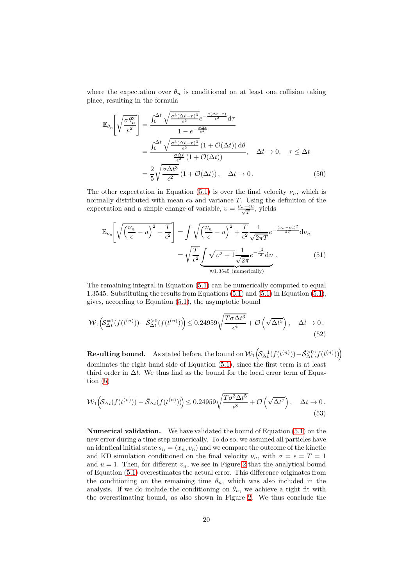where the expectation over  $\theta_n$  is conditioned on at least one collision taking place, resulting in the formula

$$
\mathbb{E}_{\theta_n} \left[ \sqrt{\frac{\sigma \theta_n^3}{\epsilon^2}} \right] = \frac{\int_0^{\Delta t} \sqrt{\frac{\sigma^3 (\Delta t - \tau)^3}{\epsilon^6} e^{-\frac{\sigma (\Delta t - \tau)}{\epsilon^2}} d\tau}}{1 - e^{-\frac{\sigma \Delta t}{\epsilon^2}}}
$$
\n
$$
= \frac{\int_0^{\Delta t} \sqrt{\frac{\sigma^3 (\Delta t - \tau)^3}{\epsilon^6} (1 + \mathcal{O}(\Delta t))} d\theta}{\frac{\sigma \Delta t}{\epsilon^2} (1 + \mathcal{O}(\Delta t))}, \quad \Delta t \to 0, \quad \tau \le \Delta t
$$
\n
$$
= \frac{2}{5} \sqrt{\frac{\sigma \Delta t^3}{\epsilon^2} (1 + \mathcal{O}(\Delta t))}, \quad \Delta t \to 0.
$$
\n(50)

The other expectation in Equation [\(5.1\)](#page-18-0) is over the final velocity  $\nu_n$ , which is normally distributed with mean  $\epsilon u$  and variance T. Using the definition of the expectation and a simple change of variable,  $v = \frac{\nu_n - \epsilon u}{\sqrt{T}}$ , yields

$$
\mathbb{E}_{\nu_n} \left[ \sqrt{\left(\frac{\nu_n}{\epsilon} - u\right)^2 + \frac{T}{\epsilon^2}} \right] = \int \sqrt{\left(\frac{\nu_n}{\epsilon} - u\right)^2 + \frac{T}{\epsilon^2}} \frac{1}{\sqrt{2\pi T}} e^{-\frac{(\nu_n - \epsilon u)^2}{2T}} d\nu_n
$$
\n
$$
= \sqrt{\frac{T}{\epsilon^2}} \underbrace{\int \sqrt{v^2 + 1} \frac{1}{\sqrt{2\pi}} e^{-\frac{v^2}{2}} dv}_{\approx 1.3545 \text{ (numerically)}}. \tag{51}
$$

The remaining integral in Equation [\(5.1\)](#page-18-0) can be numerically computed to equal 1.3545. Substituting the results from Equations [\(5.1\)](#page-18-0) and [\(5.1\)](#page-18-0) in Equation [\(5.1\)](#page-18-0), gives, according to Equation [\(5.1\)](#page-16-1), the asymptotic bound

$$
\mathcal{W}_1\Big(\mathcal{S}_{\Delta t}^{-1}(f(t^{(n)})) - \tilde{\mathcal{S}}_{\Delta t}^{>0}(f(t^{(n)}))\Big) \le 0.24959\sqrt{\frac{T\sigma\Delta t^3}{\epsilon^4}} + \mathcal{O}\left(\sqrt{\Delta t^5}\right), \quad \Delta t \to 0. \tag{52}
$$

<span id="page-19-0"></span>**Resulting bound.** As stated before, the bound on  $\mathcal{W}_1\left(\right)$  $\left( \mathcal{S}_{\Delta t}^{=1}(f(t^{(n)})) - \tilde{\mathcal{S}}_{\Delta t}^{>0}(f(t^{(n)})) \right)$ dominates the right hand side of Equation [\(5.1\)](#page-16-0), since the first term is at least third order in  $\Delta t$ . We thus find as the bound for the local error term of Equation [\(5\)](#page-14-0)

$$
\mathcal{W}_1\Big(\mathcal{S}_{\Delta t}(f(t^{(n)})) - \tilde{\mathcal{S}}_{\Delta t}(f(t^{(n)}))\Big) \le 0.24959\sqrt{\frac{T\sigma^3 \Delta t^5}{\epsilon^8}} + \mathcal{O}\left(\sqrt{\Delta t^7}\right), \quad \Delta t \to 0. \tag{53}
$$

Numerical validation. We have validated the bound of Equation [\(5.1\)](#page-19-0) on the new error during a time step numerically. To do so, we assumed all particles have an identical initial state  $s_n = (x_n, v_n)$  and we compare the outcome of the kinetic and KD simulation conditioned on the final velocity  $\nu_n$ , with  $\sigma = \epsilon = T = 1$ and  $u = 1$ . Then, for different  $v_n$ , we see in Figure [2](#page-20-1) that the analytical bound of Equation [\(5.1\)](#page-19-0) overestimates the actual error. This difference originates from the conditioning on the remaining time  $\theta_n$ , which was also included in the analysis. If we do include the conditioning on  $\theta_n$ , we achieve a tight fit with the overestimating bound, as also shown in Figure [2.](#page-20-1) We thus conclude the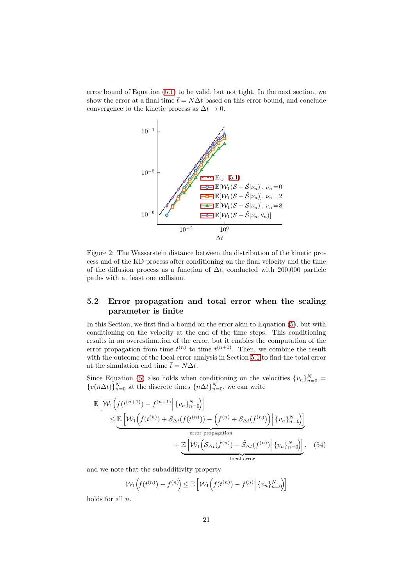<span id="page-20-1"></span>error bound of Equation [\(5.1\)](#page-19-0) to be valid, but not tight. In the next section, we show the error at a final time  $\bar{t} = N\Delta t$  based on this error bound, and conclude convergence to the kinetic process as  $\Delta t \to 0$ .



Figure 2: The Wasserstein distance between the distribution of the kinetic process and of the KD process after conditioning on the final velocity and the time of the diffusion process as a function of  $\Delta t$ , conducted with 200,000 particle paths with at least one collision.

### <span id="page-20-0"></span>5.2 Error propagation and total error when the scaling parameter is finite

In this Section, we first find a bound on the error akin to Equation [\(5\)](#page-14-0), but with conditioning on the velocity at the end of the time steps. This conditioning results in an overestimation of the error, but it enables the computation of the error propagation from time  $t^{(n)}$  to time  $t^{(n+1)}$ . Then, we combine the result with the outcome of the local error analysis in Section [5.1](#page-15-0) to find the total error at the simulation end time  $t = N\Delta t$ .

Since Equation [\(5\)](#page-14-0) also holds when conditioning on the velocities  $\{v_n\}_{n=0}^N =$  $\{v(n\Delta t)\}_{n=0}^N$  at the discrete times  $\{n\Delta t\}_{n=0}^N$ , we can write

$$
\mathbb{E}\left[\mathcal{W}_1\left(f(t^{(n+1)}) - f^{(n+1)}\Big|\{v_n\}_{n=0}^N\right)\right]
$$
\n
$$
\leq \mathbb{E}\left[\mathcal{W}_1\left(f(t^{(n)}) + \mathcal{S}_{\Delta t}(f(t^{(n)})) - \left(f^{(n)} + \mathcal{S}_{\Delta t}(f^{(n)})\right)\Big|\{v_n\}_{n=0}^N\right)\right]
$$
\n
$$
+ \mathbb{E}\left[\mathcal{W}_1\left(\mathcal{S}_{\Delta t}(f^{(n)}) - \tilde{\mathcal{S}}_{\Delta t}(f^{(n)})\Big|\{v_n\}_{n=0}^N\right)\right], \quad (54)
$$
\n
$$
\text{local error}
$$

and we note that the subadditivity property

$$
\mathcal{W}_1\left(f(t^{(n)}) - f^{(n)}\right) \le \mathbb{E}\left[\mathcal{W}_1\left(f(t^{(n)}) - f^{(n)}\right|\{v_n\}_{n=0}^N\right)\right]
$$

holds for all n.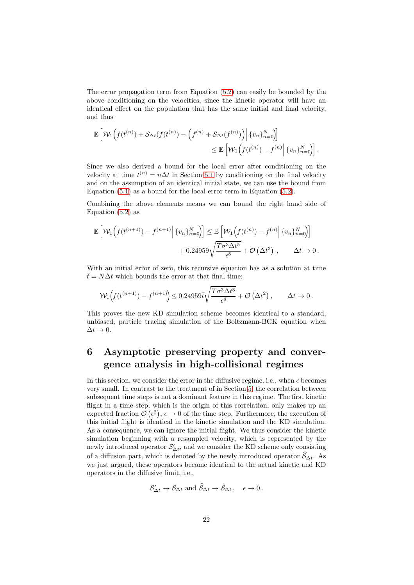The error propagation term from Equation [\(5.2\)](#page-20-0) can easily be bounded by the above conditioning on the velocities, since the kinetic operator will have an identical effect on the population that has the same initial and final velocity, and thus

$$
\mathbb{E}\left[\mathcal{W}_1\Big(f(t^{(n)})+\mathcal{S}_{\Delta t}(f(t^{(n)})-\Big(f^{(n)}+\mathcal{S}_{\Delta t}(f^{(n)})\Big)\Big|\{v_n\}_{n=0}^N\Big]\right] \leq \mathbb{E}\left[\mathcal{W}_1\Big(f(t^{(n)})-f^{(n)}\Big|\{v_n\}_{n=0}^N\Big)\right].
$$

Since we also derived a bound for the local error after conditioning on the velocity at time  $t^{(n)} = n\Delta t$  in Section [5.1](#page-15-0) by conditioning on the final velocity and on the assumption of an identical initial state, we can use the bound from Equation [\(5.1\)](#page-19-0) as a bound for the local error term in Equation [\(5.2\)](#page-20-0).

Combining the above elements means we can bound the right hand side of Equation [\(5.2\)](#page-20-0) as

$$
\mathbb{E}\left[\mathcal{W}_1\left(f(t^{(n+1)}) - f^{(n+1)}\right|\{v_n\}_{n=0}^N\right] \leq \mathbb{E}\left[\mathcal{W}_1\left(f(t^{(n)}) - f^{(n)}\right|\{v_n\}_{n=0}^N\right] + 0.24959\sqrt{\frac{T\sigma^3\Delta t^5}{\epsilon^8}} + \mathcal{O}\left(\Delta t^3\right), \qquad \Delta t \to 0.
$$

With an initial error of zero, this recursive equation has as a solution at time  $\bar{t} = N\Delta t$  which bounds the error at that final time:

$$
\mathcal{W}_1\left(f(t^{(n+1)}) - f^{(n+1)}\right) \le 0.24959 \bar{t} \sqrt{\frac{T\sigma^3 \Delta t^3}{\epsilon^8}} + \mathcal{O}\left(\Delta t^2\right), \qquad \Delta t \to 0.
$$

This proves the new KD simulation scheme becomes identical to a standard, unbiased, particle tracing simulation of the Boltzmann-BGK equation when  $\Delta t \rightarrow 0.$ 

# <span id="page-21-0"></span>6 Asymptotic preserving property and convergence analysis in high-collisional regimes

In this section, we consider the error in the diffusive regime, i.e., when  $\epsilon$  becomes very small. In contrast to the treatment of in Section [5,](#page-14-0) the correlation between subsequent time steps is not a dominant feature in this regime. The first kinetic flight in a time step, which is the origin of this correlation, only makes up an expected fraction  $\mathcal{O}(\epsilon^2)$ ,  $\epsilon \to 0$  of the time step. Furthermore, the execution of this initial flight is identical in the kinetic simulation and the KD simulation. As a consequence, we can ignore the initial flight. We thus consider the kinetic simulation beginning with a resampled velocity, which is represented by the newly introduced operator  $\mathcal{S}'_{\Delta t}$ , and we consider the KD scheme only consisting of a diffusion part, which is denoted by the newly introduced operator  $\widehat{S}_{\Delta t}$ . As we just argued, these operators become identical to the actual kinetic and KD operators in the diffusive limit, i.e.,

$$
\mathcal{S}'_{\Delta t} \to \mathcal{S}_{\Delta t} \text{ and } \widehat{\mathcal{S}}_{\Delta t} \to \widetilde{\mathcal{S}}_{\Delta t} \,, \quad \epsilon \to 0 \,.
$$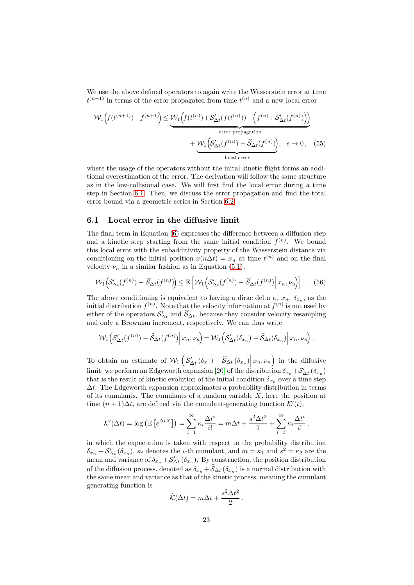We use the above defined operators to again write the Wasserstein error at time  $t^{(n+1)}$  in terms of the error propagated from time  $t^{(n)}$  and a new local error

$$
\mathcal{W}_1\left(f(t^{(n+1)}) - f^{(n+1)}\right) \leq \underbrace{\mathcal{W}_1\left(f(t^{(n)}) + \mathcal{S}'_{\Delta t}(f(t^{(n)})) - \left(f^{(n)} + \mathcal{S}'_{\Delta t}(f^{(n)})\right)\right)}_{\text{error propagation}} + \underbrace{\mathcal{W}_1\left(\mathcal{S}'_{\Delta t}(f^{(n)}) - \hat{\mathcal{S}}_{\Delta t}(f^{(n)})\right)}_{\text{local error}}, \quad \epsilon \to 0, \quad (55)
$$

where the usage of the operators without the inital kinetic flight forms an additional overestimation of the error. The derivation will follow the same structure as in the low-collisional case. We will first find the local error during a time step in Section [6.1.](#page-22-0) Then, we discuss the error propagation and find the total error bound via a geometric series in Section [6.2.](#page-25-0)

#### <span id="page-22-0"></span>6.1 Local error in the diffusive limit

The final term in Equation [\(6\)](#page-21-0) expresses the difference between a diffusion step and a kinetic step starting from the same initial condition  $f^{(n)}$ . We bound this local error with the subadditivity property of the Wasserstein distance via conditioning on the initial position  $x(n\Delta t) = x_n$  at time  $t^{(n)}$  and on the final velocity  $\nu_n$  in a similar fashion as in Equation [\(5.1\)](#page-16-1),

$$
\mathcal{W}_1\Big(\mathcal{S}_{\Delta t}'(f^{(n)}) - \widehat{\mathcal{S}}_{\Delta t}(f^{(n)})\Big) \le \mathbb{E}\left[\mathcal{W}_1\Big(\mathcal{S}_{\Delta t}'(f^{(n)}) - \widehat{\mathcal{S}}_{\Delta t}(f^{(n)})\Big|\,x_n, \nu_n\Big)\right].\tag{56}
$$

The above conditioning is equivalent to having a dirac delta at  $x_n$ ,  $\delta_{x_n}$ , as the initial distribution  $f^{(n)}$ . Note that the velocity information at  $f^{(n)}$  is not used by either of the operators  $\mathcal{S}'_{\Delta t}$  and  $\mathcal{S}_{\Delta t}$ , because they consider velocity resampling and only a Brownian increment, respectively. We can thus write

$$
\mathcal{W}_1\Big(\mathcal{S}'_{\Delta t}(f^{(n)})-\widehat{\mathcal{S}}_{\Delta t}(f^{(n)})\Big|\,x_n,\nu_n\Big)=\mathcal{W}_1\Big(\mathcal{S}'_{\Delta t}(\delta_{x_n})-\widehat{\mathcal{S}}_{\Delta t}(\delta_{x_n})\Big|\,x_n,\nu_n\Big)\,.
$$

To obtain an estimate of  $\mathcal{W}_1$   $\Big($  $S'_{\Delta t}(\delta_{x_n}) - \hat{S}_{\Delta t}(\delta_{x_n})\Big| x_n, \nu_n$  in the diffusive limit, we perform an Edgeworth expansion [\[20\]](#page-30-12) of the distribution  $\delta_{x_n} + S'_{\Delta t} (\delta_{x_n})$ that is the result of kinetic evolution of the initial condition  $\delta_{x_n}$  over a time step  $\Delta t$ . The Edgeworth expansion approximates a probability distribution in terms of its cumulants. The cumulants of a random variable  $X$ , here the position at time  $(n+1)\Delta t$ , are defined via the cumulant-generating function  $\mathcal{K}'(t)$ ,

$$
\mathcal{K}'(\Delta t) = \log \left( \mathbb{E} \left[ e^{\Delta t X} \right] \right) = \sum_{i=1}^{\infty} \kappa_i \frac{\Delta t^i}{i!} = m \Delta t + \frac{s^2 \Delta t^2}{2} + \sum_{i=3}^{\infty} \kappa_i \frac{\Delta t^i}{i!},
$$

in which the expectation is taken with respect to the probability distribution  $\delta_{x_n} + \mathcal{S}'_{\Delta t} (\delta_{x_n}), \kappa_i$  denotes the *i*-th cumulant, and  $m = \kappa_1$  and  $s^2 = \kappa_2$  are the mean and variance of  $\delta_{x_n} + \mathcal{S}'_{\Delta t}(\delta_{x_n})$ . By construction, the position distribution of the diffusion process, denoted as  $\delta_{x_n} + S_{\Delta t}(\delta_{x_n})$  is a normal distribution with the same mean and variance as that of the kinetic process, meaning the cumulant generating function is

$$
\hat{\mathcal{K}}(\Delta t) = m\Delta t + \frac{s^2 \Delta t^2}{2}.
$$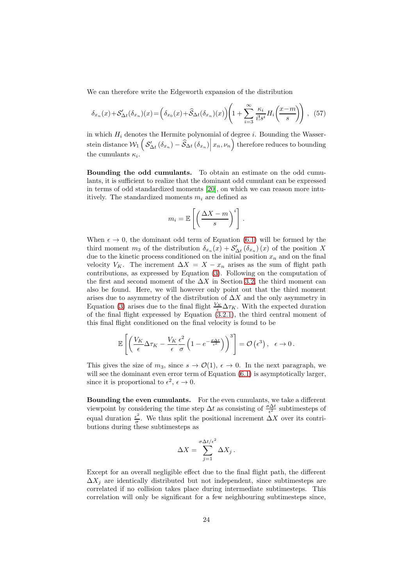We can therefore write the Edgeworth expansion of the distribution

$$
\delta_{x_n}(x) + S'_{\Delta t}(\delta_{x_n})(x) = \left(\delta_{x_0}(x) + \widehat{S}_{\Delta t}(\delta_{x_n})(x)\right)\left(1 + \sum_{i=3}^{\infty} \frac{\kappa_i}{i!s^i} H_i\left(\frac{x-m}{s}\right)\right), (57)
$$

in which  $H_i$  denotes the Hermite polynomial of degree i. Bounding the Wasserstein distance  $\mathcal{W}_1\left($  $S'_{\Delta t}(\delta_{x_n}) - \hat{S}_{\Delta t}(\delta_{x_n})\Big|x_n, \nu_n\Big)$  therefore reduces to bounding the cumulants  $\kappa_i$ .

Bounding the odd cumulants. To obtain an estimate on the odd cumulants, it is sufficient to realize that the dominant odd cumulant can be expressed in terms of odd standardized moments [\[20\]](#page-30-12), on which we can reason more intuitively. The standardized moments  $m_i$  are defined as

$$
m_i = \mathbb{E}\left[\left(\frac{\Delta X - m}{s}\right)^i\right].
$$

When  $\epsilon \to 0$ , the dominant odd term of Equation [\(6.1\)](#page-22-0) will be formed by the third moment  $m_3$  of the distribution  $\delta_{x_n}(x) + \mathcal{S}'_{\Delta t}(\delta_{x_n})(x)$  of the position X due to the kinetic process conditioned on the initial position  $x_n$  and on the final velocity  $V_K$ . The increment  $\Delta X = X - x_n$  arises as the sum of flight path contributions, as expressed by Equation [\(3\)](#page-5-1). Following on the computation of the first and second moment of the  $\Delta X$  in Section [3.2,](#page-10-0) the third moment can also be found. Here, we will however only point out that the third moment arises due to asymmetry of the distribution of  $\Delta X$  and the only asymmetry in Equation [\(3\)](#page-5-1) arises due to the final flight  $\frac{V_K}{\epsilon} \Delta \tau_K$ . With the expected duration of the final flight expressed by Equation  $(3.2.1)$ , the third central moment of this final flight conditioned on the final velocity is found to be

$$
\mathbb{E}\left[\left(\frac{V_K}{\epsilon}\Delta\tau_K - \frac{V_K}{\epsilon}\frac{\epsilon^2}{\sigma}\left(1 - e^{-\frac{\sigma \Delta t}{\epsilon^2}}\right)\right)^3\right] = \mathcal{O}\left(\epsilon^3\right), \quad \epsilon \to 0.
$$

This gives the size of  $m_3$ , since  $s \to \mathcal{O}(1)$ ,  $\epsilon \to 0$ . In the next paragraph, we will see the dominant even error term of Equation  $(6.1)$  is asymptotically larger, since it is proportional to  $\epsilon^2$ ,  $\epsilon \to 0$ .

<span id="page-23-0"></span>Bounding the even cumulants. For the even cumulants, we take a different viewpoint by considering the time step  $\Delta t$  as consisting of  $\frac{\sigma \Delta t}{\epsilon^2}$  subtimesteps of equal duration  $\frac{\epsilon^2}{\sigma}$  $\frac{\varepsilon}{\sigma}$ . We thus split the positional increment  $\Delta X$  over its contributions during these subtimesteps as

$$
\Delta X = \sum_{j=1}^{\sigma \Delta t/\epsilon^2} \Delta X_j.
$$

Except for an overall negligible effect due to the final flight path, the different  $\Delta X_i$  are identically distributed but not independent, since subtimesteps are correlated if no collision takes place during intermediate subtimesteps. This correlation will only be significant for a few neighbouring subtimesteps since,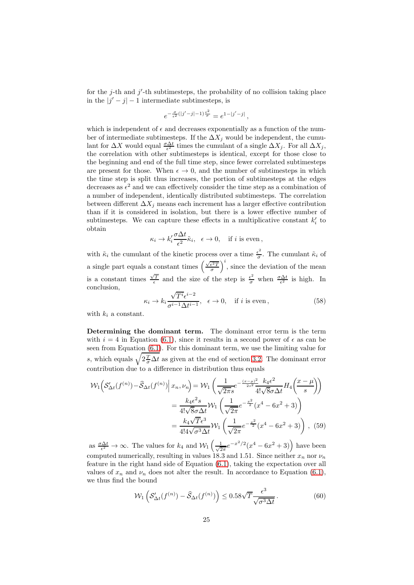for the  $j$ -th and  $j'$ -th subtimesteps, the probability of no collision taking place in the  $|j'-j|-1$  intermediate subtimesteps, is

$$
e^{-\frac{\sigma}{\epsilon^2}(|j'-j|-1)\frac{\epsilon^2}{\sigma}} = e^{1-|j'-j|},
$$

which is independent of  $\epsilon$  and decreases exponentially as a function of the number of intermediate subtimesteps. If the  $\Delta X_i$  would be independent, the cumulant for  $\Delta X$  would equal  $\frac{\sigma \Delta t}{\epsilon^2}$  times the cumulant of a single  $\Delta X_j$ . For all  $\Delta X_j$ , the correlation with other subtimesteps is identical, except for those close to the beginning and end of the full time step, since fewer correlated subtimesteps are present for those. When  $\epsilon \to 0$ , and the number of subtimesteps in which the time step is split thus increases, the portion of subtimesteps at the edges decreases as  $\epsilon^2$  and we can effectively consider the time step as a combination of a number of independent, identically distributed subtimesteps. The correlation between different  $\Delta X_j$  means each increment has a larger effective contribution than if it is considered in isolation, but there is a lower effective number of subtimesteps. We can capture these effects in a multiplicative constant  $k_i'$  to obtain

$$
\kappa_i \to k_i' \frac{\sigma \Delta t}{\epsilon^2} \tilde{\kappa}_i, \quad \epsilon \to 0, \quad \text{if } i \text{ is even },
$$

with  $\tilde{\kappa}_i$  the cumulant of the kinetic process over a time  $\frac{\epsilon^2}{\sigma}$  $\frac{\varepsilon^2}{\sigma}$ . The cumulant  $\tilde{\kappa}_i$  of a single part equals a constant times  $\left(\frac{\sqrt{\epsilon^2 T}}{\sigma}\right)$  $i$ , since the deviation of the mean is a constant times  $\frac{\sqrt{T}}{\epsilon}$  and the size of the step is  $\frac{\epsilon^2}{\sigma}$  when  $\frac{\sigma \Delta t}{\epsilon^2}$  is high. In conclusion,

$$
\kappa_i \to k_i \frac{\sqrt{T^i} \epsilon^{i-2}}{\sigma^{i-1} \Delta t^{i-1}}, \quad \epsilon \to 0, \quad \text{if } i \text{ is even}, \tag{58}
$$

with  $k_i$  a constant.

<span id="page-24-0"></span>Determining the dominant term. The dominant error term is the term with  $i = 4$  in Equation [\(6.1\)](#page-22-0), since it results in a second power of  $\epsilon$  as can be seen from Equation [\(6.1\)](#page-23-0). For this dominant term, we use the limiting value for s, which equals  $\sqrt{2\frac{T}{\sigma}\Delta t}$  as given at the end of section [3.2.](#page-10-0) The dominant error contribution due to a difference in distribution thus equals

$$
\mathcal{W}_{1}\left(\mathcal{S}_{\Delta t}'(f^{(n)}) - \hat{\mathcal{S}}_{\Delta t}(f^{(n)})\middle| \ x_{n}, \nu_{n}\right) = \mathcal{W}_{1}\left(\frac{1}{\sqrt{2\pi s}}e^{-\frac{(x-\mu)^{2}}{2s^{2}}}\frac{k_{4}\epsilon^{2}}{4!\sqrt{8}\sigma\Delta t}H_{4}\left(\frac{x-\mu}{s}\right)\right)
$$

$$
=\frac{k_{4}\epsilon^{2}s}{4!\sqrt{8}\sigma\Delta t}\mathcal{W}_{1}\left(\frac{1}{\sqrt{2\pi}}e^{-\frac{x^{2}}{2}}(x^{4}-6x^{2}+3)\right)
$$

$$
=\frac{k_{4}\sqrt{T}\epsilon^{3}}{4!4\sqrt{\sigma^{3}\Delta t}}\mathcal{W}_{1}\left(\frac{1}{\sqrt{2\pi}}e^{-\frac{x^{2}}{2}}(x^{4}-6x^{2}+3)\right), \ (59)
$$

as  $\frac{\sigma \Delta t}{\epsilon^2} \to \infty$ . The values for  $k_4$  and  $\mathcal{W}_1\left(\frac{1}{\sqrt{2}}\right)$  $\frac{1}{2\pi}e^{-x^2/2}(x^4-6x^2+3)$  have been computed numerically, resulting in values 18.3 and 1.51. Since neither  $x_n$  nor  $\nu_n$ feature in the right hand side of Equation [\(6.1\)](#page-24-0), taking the expectation over all values of  $x_n$  and  $\nu_n$  does not alter the result. In accordance to Equation [\(6.1\)](#page-22-0), we thus find the bound

$$
\mathcal{W}_1\left(\mathcal{S}'_{\Delta t}(f^{(n)}) - \widehat{\mathcal{S}}_{\Delta t}(f^{(n)})\right) \le 0.58\sqrt{T} \frac{\epsilon^3}{\sqrt{\sigma^3 \Delta t}}.\tag{60}
$$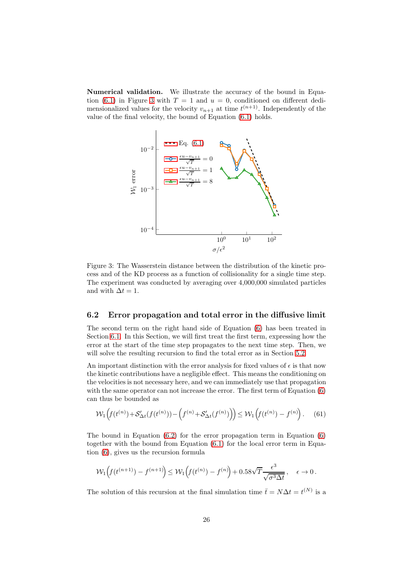<span id="page-25-1"></span>Numerical validation. We illustrate the accuracy of the bound in Equa-tion [\(6.1\)](#page-24-0) in Figure [3](#page-25-1) with  $T = 1$  and  $u = 0$ , conditioned on different dedimensionalized values for the velocity  $v_{n+1}$  at time  $t^{(n+1)}$ . Independently of the value of the final velocity, the bound of Equation [\(6.1\)](#page-24-0) holds.



Figure 3: The Wasserstein distance between the distribution of the kinetic process and of the KD process as a function of collisionality for a single time step. The experiment was conducted by averaging over 4,000,000 simulated particles and with  $\Delta t = 1$ .

#### <span id="page-25-0"></span>6.2 Error propagation and total error in the diffusive limit

The second term on the right hand side of Equation [\(6\)](#page-21-0) has been treated in Section [6.1.](#page-22-0) In this Section, we will first treat the first term, expressing how the error at the start of the time step propagates to the next time step. Then, we will solve the resulting recursion to find the total error as in Section [5.2.](#page-20-0)

An important distinction with the error analysis for fixed values of  $\epsilon$  is that now the kinetic contributions have a negligible effect. This means the conditioning on the velocities is not necessary here, and we can immediately use that propagation with the same operator can not increase the error. The first term of Equation [\(6\)](#page-21-0) can thus be bounded as

$$
\mathcal{W}_1\Big(f(t^{(n)}) + \mathcal{S}'_{\Delta t}(f(t^{(n)})) - \Big(f^{(n)} + \mathcal{S}'_{\Delta t}(f^{(n)})\Big)\Big) \le \mathcal{W}_1\Big(f(t^{(n)}) - f^{(n)}\Big). \tag{61}
$$

The bound in Equation [\(6.2\)](#page-25-0) for the error propagation term in Equation [\(6\)](#page-21-0) together with the bound from Equation [\(6.1\)](#page-24-0) for the local error term in Equation [\(6\)](#page-21-0), gives us the recursion formula

$$
\mathcal{W}_1\Big(f(t^{(n+1)}) - f^{(n+1)}\Big) \le \mathcal{W}_1\Big(f(t^{(n)}) - f^{(n)}\Big) + 0.58\sqrt{T}\frac{\epsilon^3}{\sqrt{\sigma^3 \Delta t}}, \quad \epsilon \to 0.
$$

The solution of this recursion at the final simulation time  $\bar{t} = N\Delta t = t^{(N)}$  is a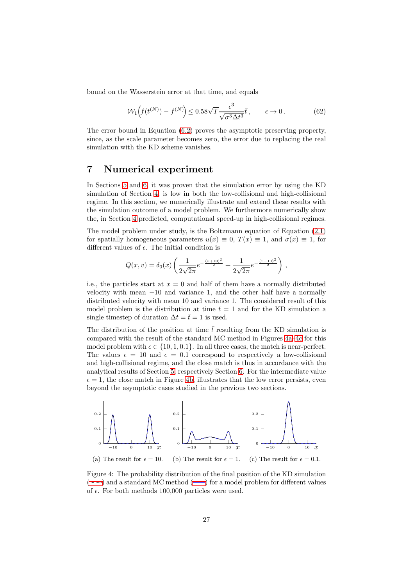bound on the Wasserstein error at that time, and equals

$$
\mathcal{W}_1\left(f(t^{(N)}) - f^{(N)}\right) \le 0.58\sqrt{T} \frac{\epsilon^3}{\sqrt{\sigma^3 \Delta t^3}} \bar{t}, \qquad \epsilon \to 0. \tag{62}
$$

The error bound in Equation [\(6.2\)](#page-25-0) proves the asymptotic preserving property, since, as the scale parameter becomes zero, the error due to replacing the real simulation with the KD scheme vanishes.

### <span id="page-26-0"></span>7 Numerical experiment

In Sections [5](#page-14-0) and [6,](#page-21-0) it was proven that the simulation error by using the KD simulation of Section [4,](#page-12-0) is low in both the low-collisional and high-collisional regime. In this section, we numerically illustrate and extend these results with the simulation outcome of a model problem. We furthermore numerically show the, in Section [4](#page-12-0) predicted, computational speed-up in high-collisional regimes.

The model problem under study, is the Boltzmann equation of Equation [\(2.1\)](#page-2-0) for spatially homogeneous parameters  $u(x) \equiv 0$ ,  $T(x) \equiv 1$ , and  $\sigma(x) \equiv 1$ , for different values of  $\epsilon$ . The initial condition is

$$
Q(x,v) = \delta_0(x) \left( \frac{1}{2\sqrt{2\pi}} e^{-\frac{(v+10)^2}{2}} + \frac{1}{2\sqrt{2\pi}} e^{-\frac{(v-10)^2}{2}} \right),
$$

i.e., the particles start at  $x = 0$  and half of them have a normally distributed velocity with mean −10 and variance 1, and the other half have a normally distributed velocity with mean 10 and variance 1. The considered result of this model problem is the distribution at time  $\bar{t}=1$  and for the KD simulation a single timestep of duration  $\Delta t = \bar{t} = 1$  is used.

The distribution of the position at time  $\bar{t}$  resulting from the KD simulation is compared with the result of the standard MC method in Figures [4a–4c](#page-26-1) for this model problem with  $\epsilon \in \{10, 1, 0.1\}$ . In all three cases, the match is near-perfect. The values  $\epsilon = 10$  and  $\epsilon = 0.1$  correspond to respectively a low-collisional and high-collisional regime, and the close match is thus in accordance with the analytical results of Section [5,](#page-14-0) respectively Section [6.](#page-21-0) For the intermediate value  $\epsilon = 1$ , the close match in Figure [4b,](#page-26-1) illustrates that the low error persists, even beyond the asymptotic cases studied in the previous two sections.

<span id="page-26-1"></span>

<span id="page-26-2"></span>Figure 4: The probability distribution of the final position of the KD simulation  $(\text{...})$  $(\text{...})$  and a standard MC method  $(\text{...})$  for a model problem for different values of  $\epsilon$ . For both methods 100,000 particles were used.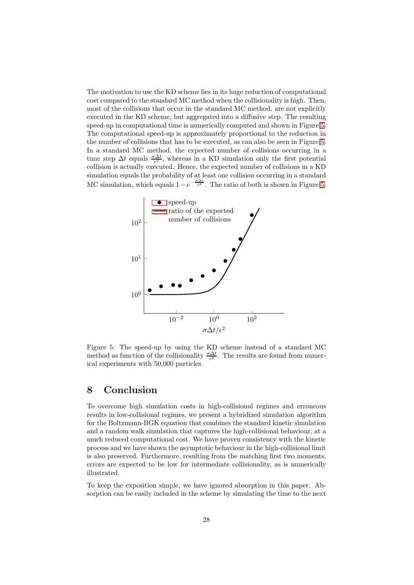The motivation to use the KD scheme lies in its huge reduction of computational cost compared to the standard MC method when the collisionality is high. Then, most of the collisions that occur in the standard MC method, are not explicitly executed in the KD scheme, but aggregated into a diffusive step. The resulting speed-up in computational time is numerically computed and shown in Figure [5.](#page-27-0) The computational speed-up is approximately proportional to the reduction in the number of collisions that has to be executed, as can also be seen in Figure [5.](#page-27-0) In a standard MC method, the expected number of collisions occurring in a time step  $\Delta t$  equals  $\frac{\sigma \Delta t}{\epsilon^2}$ , whereas in a KD simulation only the first potential collision is actually executed. Hence, the expected number of collisions in a KD simulation equals the probability of at least one collision occurring in a standard MC simulation, which equals  $1-e^{-\frac{\sigma \Delta t}{\epsilon^2}}$ . The ratio of both is shown in Figure [5.](#page-27-0)

<span id="page-27-0"></span>

Figure 5: The speed-up by using the KD scheme instead of a standard MC method as function of the collisionality  $\frac{\sigma \Delta t}{\epsilon^2}$ . The results are found from numerical experiments with 50,000 particles.

### 8 Conclusion

To overcome high simulation costs in high-collisional regimes and erroneous results in low-collisional regimes, we present a hybridized simulation algorithm for the Boltzmann-BGK equation that combines the standard kinetic simulation and a random walk simulation that captures the high-collisional behaviour, at a much reduced computational cost. We have proven consistency with the kinetic process and we have shown the asymptotic behaviour in the high-collisional limit is also preserved. Furthermore, resulting from the matching first two moments, errors are expected to be low for intermediate collisionality, as is numerically illustrated.

To keep the exposition simple, we have ignored absorption in this paper. Absorption can be easily included in the scheme by simulating the time to the next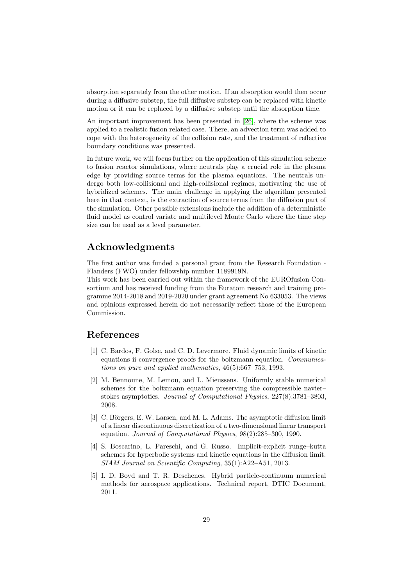absorption separately from the other motion. If an absorption would then occur during a diffusive substep, the full diffusive substep can be replaced with kinetic motion or it can be replaced by a diffusive substep until the absorption time.

An important improvement has been presented in [\[26\]](#page-30-10), where the scheme was applied to a realistic fusion related case. There, an advection term was added to cope with the heterogeneity of the collision rate, and the treatment of reflective boundary conditions was presented.

In future work, we will focus further on the application of this simulation scheme to fusion reactor simulations, where neutrals play a crucial role in the plasma edge by providing source terms for the plasma equations. The neutrals undergo both low-collisional and high-collisional regimes, motivating the use of hybridized schemes. The main challenge in applying the algorithm presented here in that context, is the extraction of source terms from the diffusion part of the simulation. Other possible extensions include the addition of a deterministic fluid model as control variate and multilevel Monte Carlo where the time step size can be used as a level parameter.

# Acknowledgments

The first author was funded a personal grant from the Research Foundation - Flanders (FWO) under fellowship number 1189919N.

This work has been carried out within the framework of the EUROfusion Consortium and has received funding from the Euratom research and training programme 2014-2018 and 2019-2020 under grant agreement No 633053. The views and opinions expressed herein do not necessarily reflect those of the European Commission.

# <span id="page-28-4"></span>References

- [1] C. Bardos, F. Golse, and C. D. Levermore. Fluid dynamic limits of kinetic equations ii convergence proofs for the boltzmann equation. Communications on pure and applied mathematics, 46(5):667–753, 1993.
- <span id="page-28-2"></span>[2] M. Bennoune, M. Lemou, and L. Mieussens. Uniformly stable numerical schemes for the boltzmann equation preserving the compressible navier– stokes asymptotics. Journal of Computational Physics, 227(8):3781–3803, 2008.
- <span id="page-28-1"></span>[3] C. Börgers, E. W. Larsen, and M. L. Adams. The asymptotic diffusion limit of a linear discontinuous discretization of a two-dimensional linear transport equation. Journal of Computational Physics, 98(2):285–300, 1990.
- <span id="page-28-3"></span>[4] S. Boscarino, L. Pareschi, and G. Russo. Implicit-explicit runge–kutta schemes for hyperbolic systems and kinetic equations in the diffusion limit. SIAM Journal on Scientific Computing, 35(1):A22–A51, 2013.
- <span id="page-28-0"></span>[5] I. D. Boyd and T. R. Deschenes. Hybrid particle-continuum numerical methods for aerospace applications. Technical report, DTIC Document, 2011.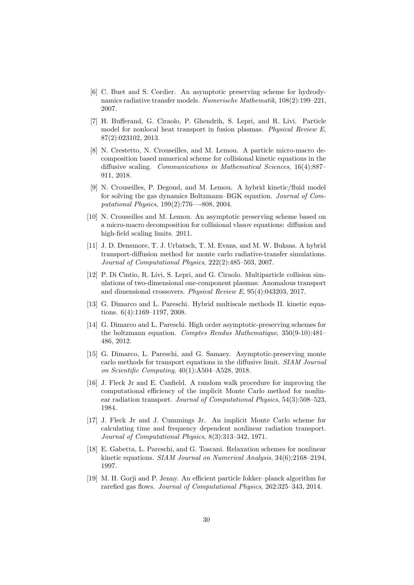- <span id="page-29-6"></span>[6] C. Buet and S. Cordier. An asymptotic preserving scheme for hydrodynamics radiative transfer models. Numerische Mathematik, 108(2):199–221, 2007.
- <span id="page-29-11"></span>[7] H. Bufferand, G. Ciraolo, P. Ghendrih, S. Lepri, and R. Livi. Particle model for nonlocal heat transport in fusion plasmas. Physical Review E, 87(2):023102, 2013.
- <span id="page-29-13"></span>[8] N. Crestetto, N. Crouseilles, and M. Lemou. A particle micro-macro decomposition based numerical scheme for collisional kinetic equations in the diffusive scaling. Communications in Mathematical Sciences, 16(4):887– 911, 2018.
- <span id="page-29-2"></span>[9] N. Crouseilles, P. Degond, and M. Lemou. A hybrid kinetic/fluid model for solving the gas dynamics Boltzmann–BGK equation. Journal of Computational Physics, 199(2):776—-808, 2004.
- <span id="page-29-7"></span>[10] N. Crouseilles and M. Lemou. An asymptotic preserving scheme based on a micro-macro decomposition for collisional vlasov equations: diffusion and high-field scaling limits. 2011.
- <span id="page-29-1"></span>[11] J. D. Densmore, T. J. Urbatsch, T. M. Evans, and M. W. Buksas. A hybrid transport-diffusion method for monte carlo radiative-transfer simulations. Journal of Computational Physics, 222(2):485–503, 2007.
- <span id="page-29-12"></span>[12] P. Di Cintio, R. Livi, S. Lepri, and G. Ciraolo. Multiparticle collision simulations of two-dimensional one-component plasmas: Anomalous transport and dimensional crossovers. Physical Review E, 95(4):043203, 2017.
- <span id="page-29-8"></span><span id="page-29-3"></span>[13] G. Dimarco and L. Pareschi. Hybrid multiscale methods II. kinetic equations. 6(4):1169–1197, 2008.
- [14] G. Dimarco and L. Pareschi. High order asymptotic-preserving schemes for the boltzmann equation. Comptes Rendus Mathematique, 350(9-10):481– 486, 2012.
- <span id="page-29-10"></span>[15] G. Dimarco, L. Pareschi, and G. Samaey. Asymptotic-preserving monte carlo methods for transport equations in the diffusive limit. SIAM Journal on Scientific Computing, 40(1):A504–A528, 2018.
- <span id="page-29-4"></span>[16] J. Fleck Jr and E. Canfield. A random walk procedure for improving the computational efficiency of the implicit Monte Carlo method for nonlinear radiation transport. Journal of Computational Physics, 54(3):508–523, 1984.
- <span id="page-29-0"></span>[17] J. Fleck Jr and J. Cummings Jr. An implicit Monte Carlo scheme for calculating time and frequency dependent nonlinear radiation transport. Journal of Computational Physics, 8(3):313–342, 1971.
- <span id="page-29-5"></span>[18] E. Gabetta, L. Pareschi, and G. Toscani. Relaxation schemes for nonlinear kinetic equations. SIAM Journal on Numerical Analysis, 34(6):2168–2194, 1997.
- <span id="page-29-9"></span>[19] M. H. Gorji and P. Jenny. An efficient particle fokker–planck algorithm for rarefied gas flows. Journal of Computational Physics, 262:325–343, 2014.